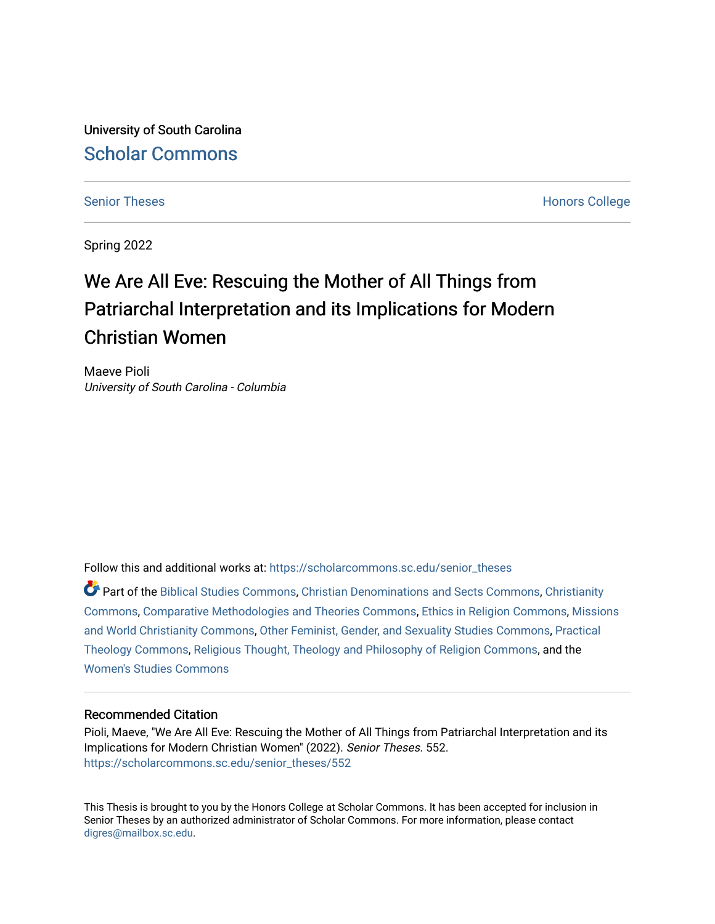University of South Carolina [Scholar Commons](https://scholarcommons.sc.edu/) 

[Senior Theses](https://scholarcommons.sc.edu/senior_theses) **Honors College** [Honors College](https://scholarcommons.sc.edu/honors_college) **Honors College** 

Spring 2022

# We Are All Eve: Rescuing the Mother of All Things from Patriarchal Interpretation and its Implications for Modern Christian Women

Maeve Pioli University of South Carolina - Columbia

Follow this and additional works at: [https://scholarcommons.sc.edu/senior\\_theses](https://scholarcommons.sc.edu/senior_theses?utm_source=scholarcommons.sc.edu%2Fsenior_theses%2F552&utm_medium=PDF&utm_campaign=PDFCoverPages) 

Part of the [Biblical Studies Commons,](https://network.bepress.com/hgg/discipline/539?utm_source=scholarcommons.sc.edu%2Fsenior_theses%2F552&utm_medium=PDF&utm_campaign=PDFCoverPages) [Christian Denominations and Sects Commons,](https://network.bepress.com/hgg/discipline/1184?utm_source=scholarcommons.sc.edu%2Fsenior_theses%2F552&utm_medium=PDF&utm_campaign=PDFCoverPages) [Christianity](https://network.bepress.com/hgg/discipline/1181?utm_source=scholarcommons.sc.edu%2Fsenior_theses%2F552&utm_medium=PDF&utm_campaign=PDFCoverPages) [Commons](https://network.bepress.com/hgg/discipline/1181?utm_source=scholarcommons.sc.edu%2Fsenior_theses%2F552&utm_medium=PDF&utm_campaign=PDFCoverPages), [Comparative Methodologies and Theories Commons,](https://network.bepress.com/hgg/discipline/540?utm_source=scholarcommons.sc.edu%2Fsenior_theses%2F552&utm_medium=PDF&utm_campaign=PDFCoverPages) [Ethics in Religion Commons,](https://network.bepress.com/hgg/discipline/541?utm_source=scholarcommons.sc.edu%2Fsenior_theses%2F552&utm_medium=PDF&utm_campaign=PDFCoverPages) [Missions](https://network.bepress.com/hgg/discipline/1187?utm_source=scholarcommons.sc.edu%2Fsenior_theses%2F552&utm_medium=PDF&utm_campaign=PDFCoverPages) [and World Christianity Commons](https://network.bepress.com/hgg/discipline/1187?utm_source=scholarcommons.sc.edu%2Fsenior_theses%2F552&utm_medium=PDF&utm_campaign=PDFCoverPages), [Other Feminist, Gender, and Sexuality Studies Commons](https://network.bepress.com/hgg/discipline/562?utm_source=scholarcommons.sc.edu%2Fsenior_theses%2F552&utm_medium=PDF&utm_campaign=PDFCoverPages), [Practical](https://network.bepress.com/hgg/discipline/1186?utm_source=scholarcommons.sc.edu%2Fsenior_theses%2F552&utm_medium=PDF&utm_campaign=PDFCoverPages)  [Theology Commons,](https://network.bepress.com/hgg/discipline/1186?utm_source=scholarcommons.sc.edu%2Fsenior_theses%2F552&utm_medium=PDF&utm_campaign=PDFCoverPages) [Religious Thought, Theology and Philosophy of Religion Commons,](https://network.bepress.com/hgg/discipline/544?utm_source=scholarcommons.sc.edu%2Fsenior_theses%2F552&utm_medium=PDF&utm_campaign=PDFCoverPages) and the [Women's Studies Commons](https://network.bepress.com/hgg/discipline/561?utm_source=scholarcommons.sc.edu%2Fsenior_theses%2F552&utm_medium=PDF&utm_campaign=PDFCoverPages)

#### Recommended Citation

Pioli, Maeve, "We Are All Eve: Rescuing the Mother of All Things from Patriarchal Interpretation and its Implications for Modern Christian Women" (2022). Senior Theses. 552. [https://scholarcommons.sc.edu/senior\\_theses/552](https://scholarcommons.sc.edu/senior_theses/552?utm_source=scholarcommons.sc.edu%2Fsenior_theses%2F552&utm_medium=PDF&utm_campaign=PDFCoverPages) 

This Thesis is brought to you by the Honors College at Scholar Commons. It has been accepted for inclusion in Senior Theses by an authorized administrator of Scholar Commons. For more information, please contact [digres@mailbox.sc.edu](mailto:digres@mailbox.sc.edu).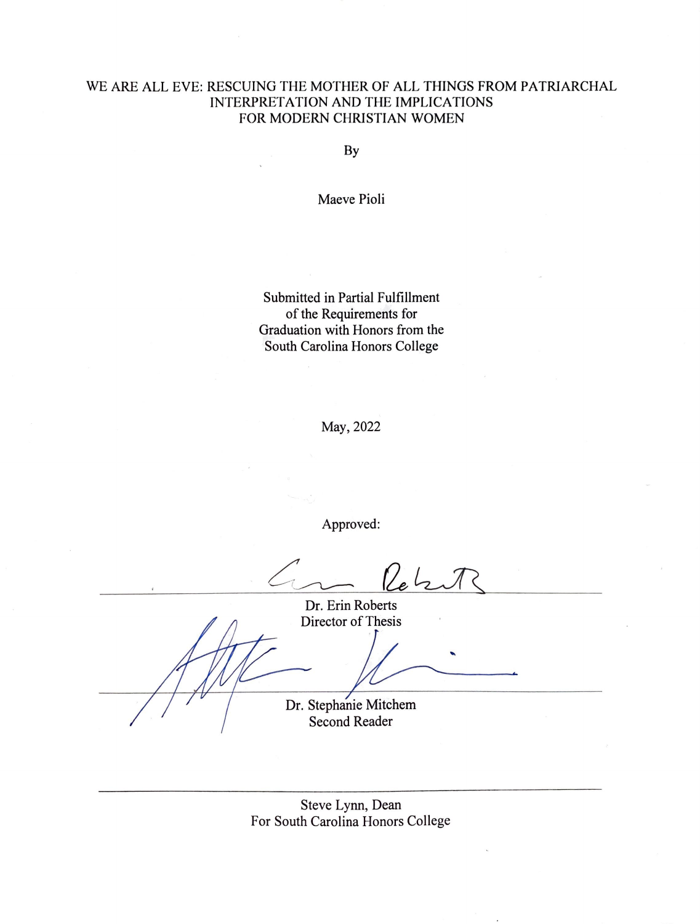#### WE ARE ALL EVE: RESCUING THE MOTHER OF ALL THINGS FROM PATRIARCHAL INTERPRETATION AND THE IMPLICATIONS FOR MODERN CHRISTIAN WOMEN

By

Maeve Pioli

Submitted in Partial Fulfillment of the Requirements for Graduation with Honors from the South Carolina Honors College

May,2022

Approved:

 $\frac{1}{2}$ 

Dr. Erin Roberts Director of Thesis

Dr. Stephanie Mitchem

Second Reader

Steve Lynn, Dean For South Carolina Honors College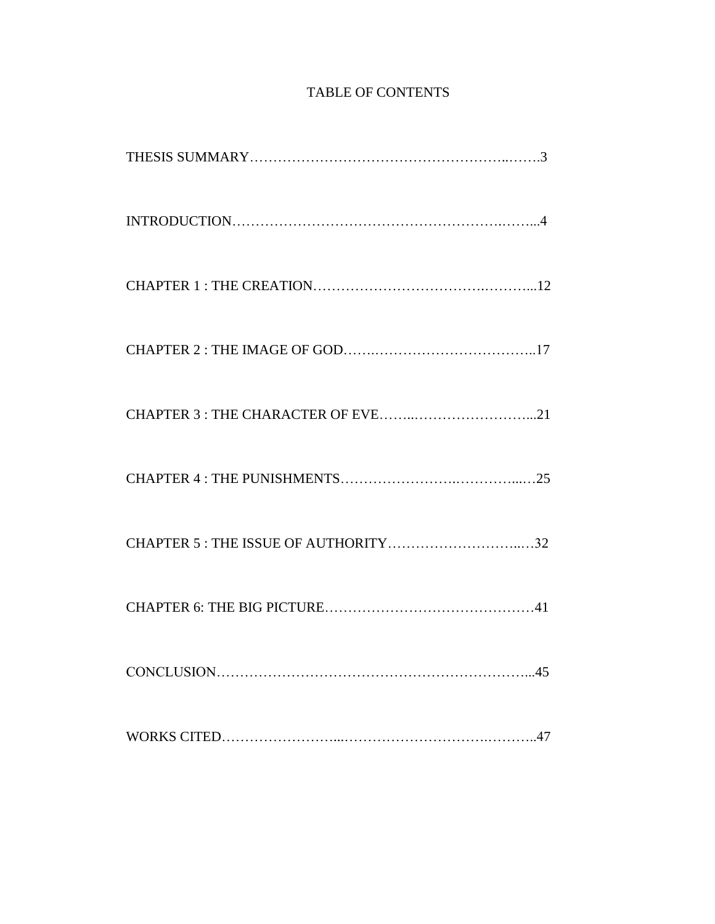# TABLE OF CONTENTS

| CHAPTER 5 : THE ISSUE OF AUTHORITY32 |
|--------------------------------------|
|                                      |
|                                      |
|                                      |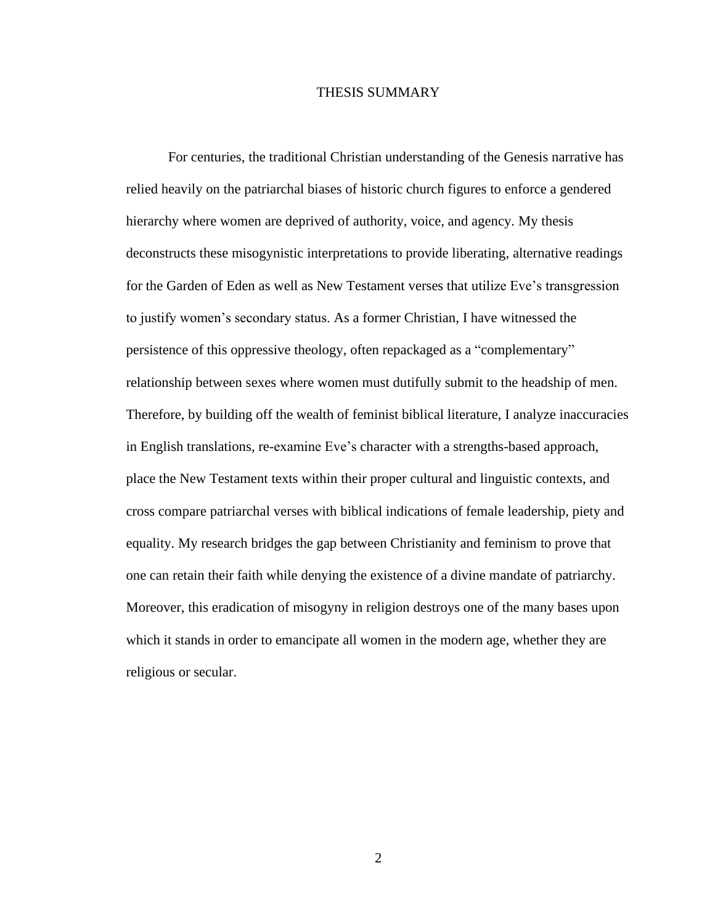#### THESIS SUMMARY

For centuries, the traditional Christian understanding of the Genesis narrative has relied heavily on the patriarchal biases of historic church figures to enforce a gendered hierarchy where women are deprived of authority, voice, and agency. My thesis deconstructs these misogynistic interpretations to provide liberating, alternative readings for the Garden of Eden as well as New Testament verses that utilize Eve's transgression to justify women's secondary status. As a former Christian, I have witnessed the persistence of this oppressive theology, often repackaged as a "complementary" relationship between sexes where women must dutifully submit to the headship of men. Therefore, by building off the wealth of feminist biblical literature, I analyze inaccuracies in English translations, re-examine Eve's character with a strengths-based approach, place the New Testament texts within their proper cultural and linguistic contexts, and cross compare patriarchal verses with biblical indications of female leadership, piety and equality. My research bridges the gap between Christianity and feminism to prove that one can retain their faith while denying the existence of a divine mandate of patriarchy. Moreover, this eradication of misogyny in religion destroys one of the many bases upon which it stands in order to emancipate all women in the modern age, whether they are religious or secular.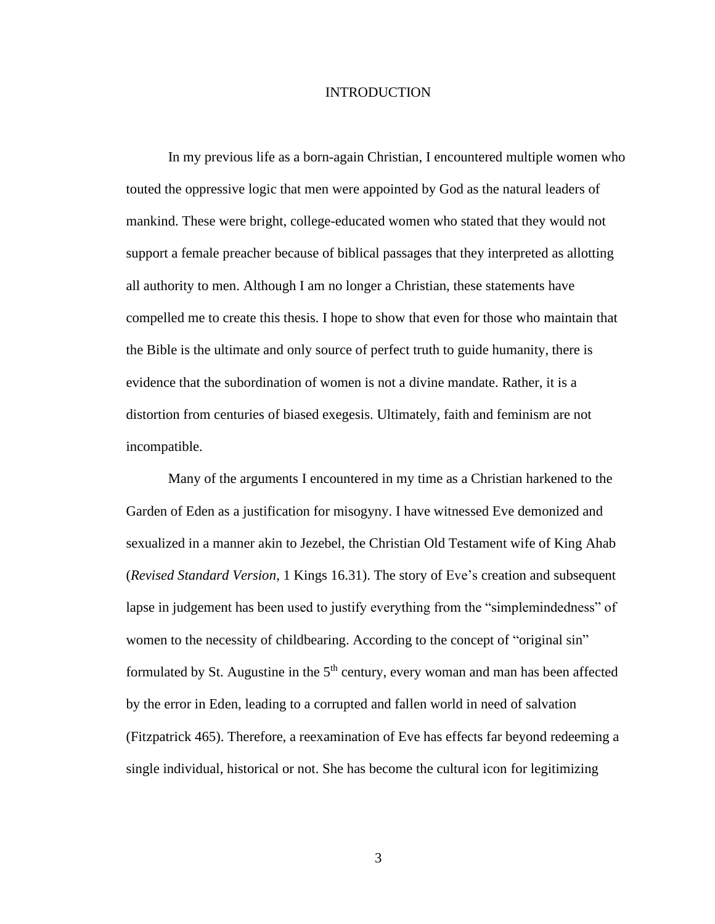#### INTRODUCTION

In my previous life as a born-again Christian, I encountered multiple women who touted the oppressive logic that men were appointed by God as the natural leaders of mankind. These were bright, college-educated women who stated that they would not support a female preacher because of biblical passages that they interpreted as allotting all authority to men. Although I am no longer a Christian, these statements have compelled me to create this thesis. I hope to show that even for those who maintain that the Bible is the ultimate and only source of perfect truth to guide humanity, there is evidence that the subordination of women is not a divine mandate. Rather, it is a distortion from centuries of biased exegesis. Ultimately, faith and feminism are not incompatible.

Many of the arguments I encountered in my time as a Christian harkened to the Garden of Eden as a justification for misogyny. I have witnessed Eve demonized and sexualized in a manner akin to Jezebel, the Christian Old Testament wife of King Ahab (*Revised Standard Version*, 1 Kings 16.31). The story of Eve's creation and subsequent lapse in judgement has been used to justify everything from the "simplemindedness" of women to the necessity of childbearing. According to the concept of "original sin" formulated by St. Augustine in the  $5<sup>th</sup>$  century, every woman and man has been affected by the error in Eden, leading to a corrupted and fallen world in need of salvation (Fitzpatrick 465). Therefore, a reexamination of Eve has effects far beyond redeeming a single individual, historical or not. She has become the cultural icon for legitimizing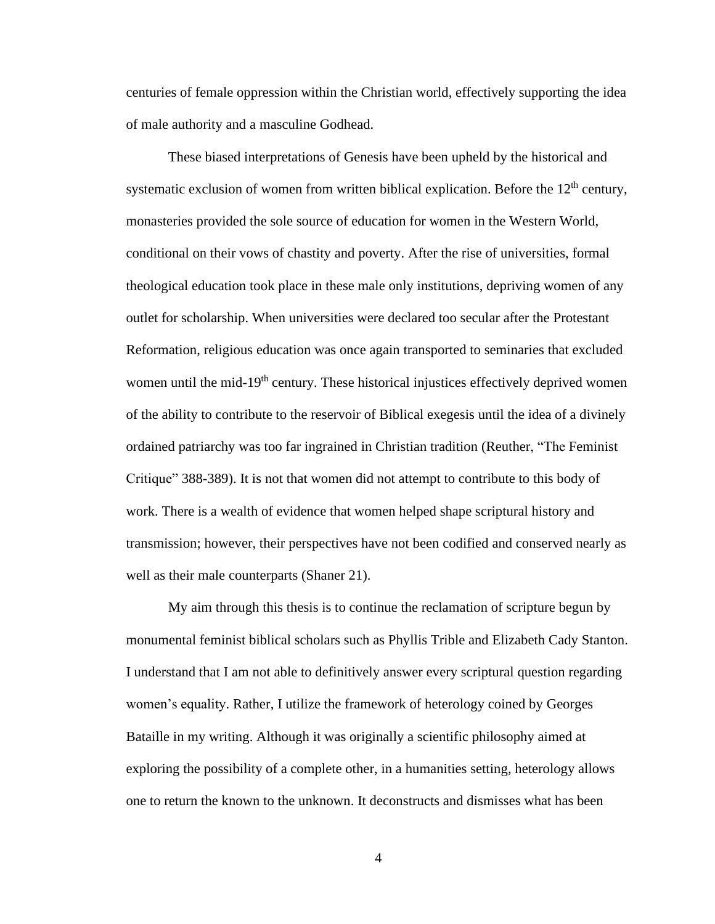centuries of female oppression within the Christian world, effectively supporting the idea of male authority and a masculine Godhead.

These biased interpretations of Genesis have been upheld by the historical and systematic exclusion of women from written biblical explication. Before the  $12<sup>th</sup>$  century, monasteries provided the sole source of education for women in the Western World, conditional on their vows of chastity and poverty. After the rise of universities, formal theological education took place in these male only institutions, depriving women of any outlet for scholarship. When universities were declared too secular after the Protestant Reformation, religious education was once again transported to seminaries that excluded women until the mid-19<sup>th</sup> century. These historical injustices effectively deprived women of the ability to contribute to the reservoir of Biblical exegesis until the idea of a divinely ordained patriarchy was too far ingrained in Christian tradition (Reuther, "The Feminist Critique" 388-389). It is not that women did not attempt to contribute to this body of work. There is a wealth of evidence that women helped shape scriptural history and transmission; however, their perspectives have not been codified and conserved nearly as well as their male counterparts (Shaner 21).

My aim through this thesis is to continue the reclamation of scripture begun by monumental feminist biblical scholars such as Phyllis Trible and Elizabeth Cady Stanton. I understand that I am not able to definitively answer every scriptural question regarding women's equality. Rather, I utilize the framework of heterology coined by Georges Bataille in my writing. Although it was originally a scientific philosophy aimed at exploring the possibility of a complete other, in a humanities setting, heterology allows one to return the known to the unknown. It deconstructs and dismisses what has been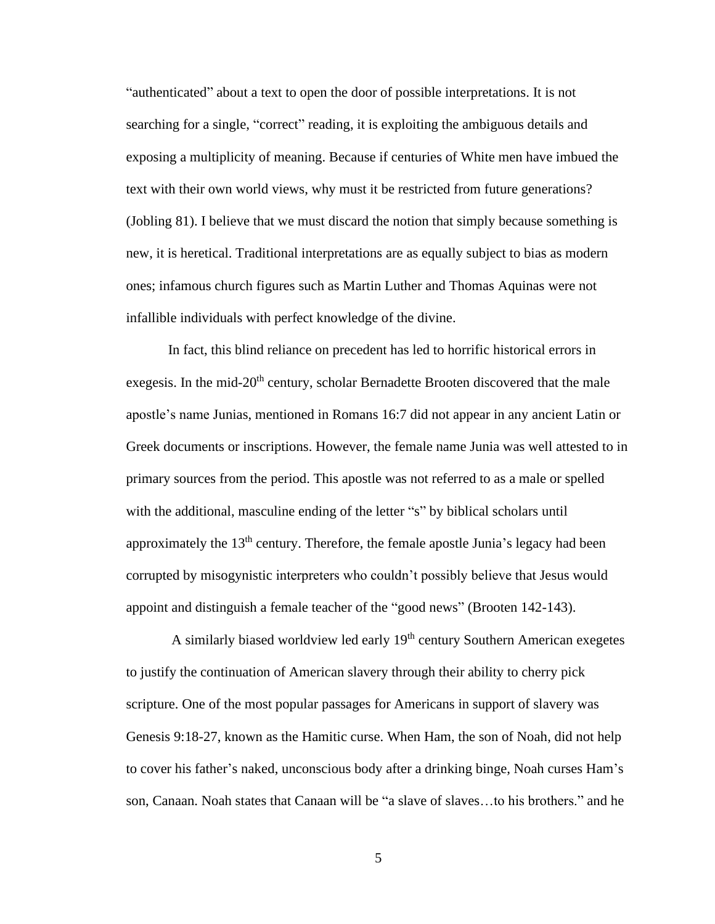"authenticated" about a text to open the door of possible interpretations. It is not searching for a single, "correct" reading, it is exploiting the ambiguous details and exposing a multiplicity of meaning. Because if centuries of White men have imbued the text with their own world views, why must it be restricted from future generations? (Jobling 81). I believe that we must discard the notion that simply because something is new, it is heretical. Traditional interpretations are as equally subject to bias as modern ones; infamous church figures such as Martin Luther and Thomas Aquinas were not infallible individuals with perfect knowledge of the divine.

In fact, this blind reliance on precedent has led to horrific historical errors in exegesis. In the mid-20<sup>th</sup> century, scholar Bernadette Brooten discovered that the male apostle's name Junias, mentioned in Romans 16:7 did not appear in any ancient Latin or Greek documents or inscriptions. However, the female name Junia was well attested to in primary sources from the period. This apostle was not referred to as a male or spelled with the additional, masculine ending of the letter "s" by biblical scholars until approximately the  $13<sup>th</sup>$  century. Therefore, the female apostle Junia's legacy had been corrupted by misogynistic interpreters who couldn't possibly believe that Jesus would appoint and distinguish a female teacher of the "good news" (Brooten 142-143).

A similarly biased worldview led early  $19<sup>th</sup>$  century Southern American exegetes to justify the continuation of American slavery through their ability to cherry pick scripture. One of the most popular passages for Americans in support of slavery was Genesis 9:18-27, known as the Hamitic curse. When Ham, the son of Noah, did not help to cover his father's naked, unconscious body after a drinking binge, Noah curses Ham's son, Canaan. Noah states that Canaan will be "a slave of slaves…to his brothers." and he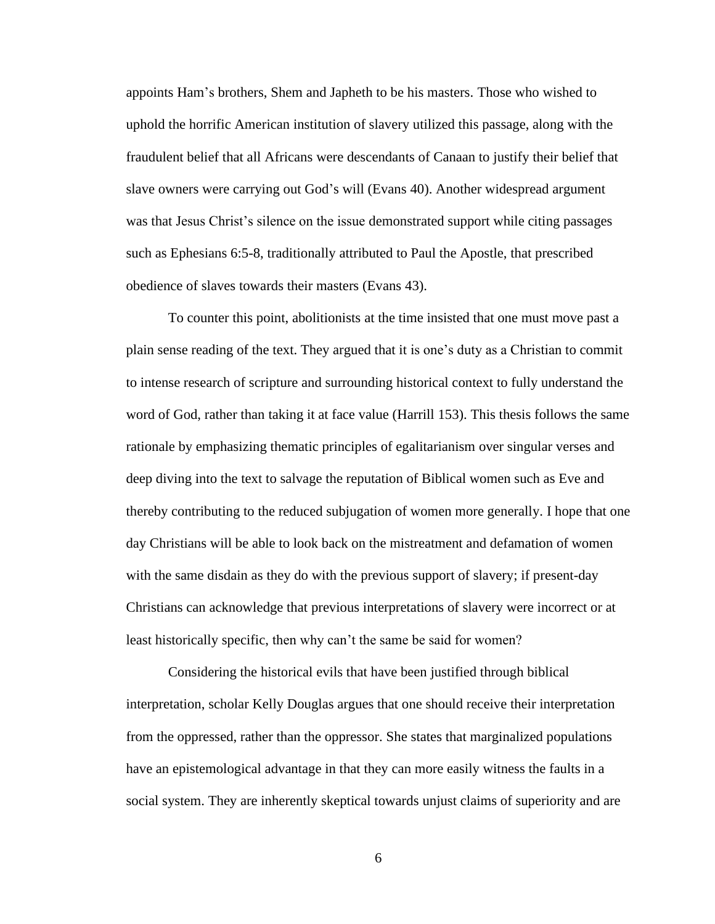appoints Ham's brothers, Shem and Japheth to be his masters. Those who wished to uphold the horrific American institution of slavery utilized this passage, along with the fraudulent belief that all Africans were descendants of Canaan to justify their belief that slave owners were carrying out God's will (Evans 40). Another widespread argument was that Jesus Christ's silence on the issue demonstrated support while citing passages such as Ephesians 6:5-8, traditionally attributed to Paul the Apostle, that prescribed obedience of slaves towards their masters (Evans 43).

To counter this point, abolitionists at the time insisted that one must move past a plain sense reading of the text. They argued that it is one's duty as a Christian to commit to intense research of scripture and surrounding historical context to fully understand the word of God, rather than taking it at face value (Harrill 153). This thesis follows the same rationale by emphasizing thematic principles of egalitarianism over singular verses and deep diving into the text to salvage the reputation of Biblical women such as Eve and thereby contributing to the reduced subjugation of women more generally. I hope that one day Christians will be able to look back on the mistreatment and defamation of women with the same disdain as they do with the previous support of slavery; if present-day Christians can acknowledge that previous interpretations of slavery were incorrect or at least historically specific, then why can't the same be said for women?

Considering the historical evils that have been justified through biblical interpretation, scholar Kelly Douglas argues that one should receive their interpretation from the oppressed, rather than the oppressor. She states that marginalized populations have an epistemological advantage in that they can more easily witness the faults in a social system. They are inherently skeptical towards unjust claims of superiority and are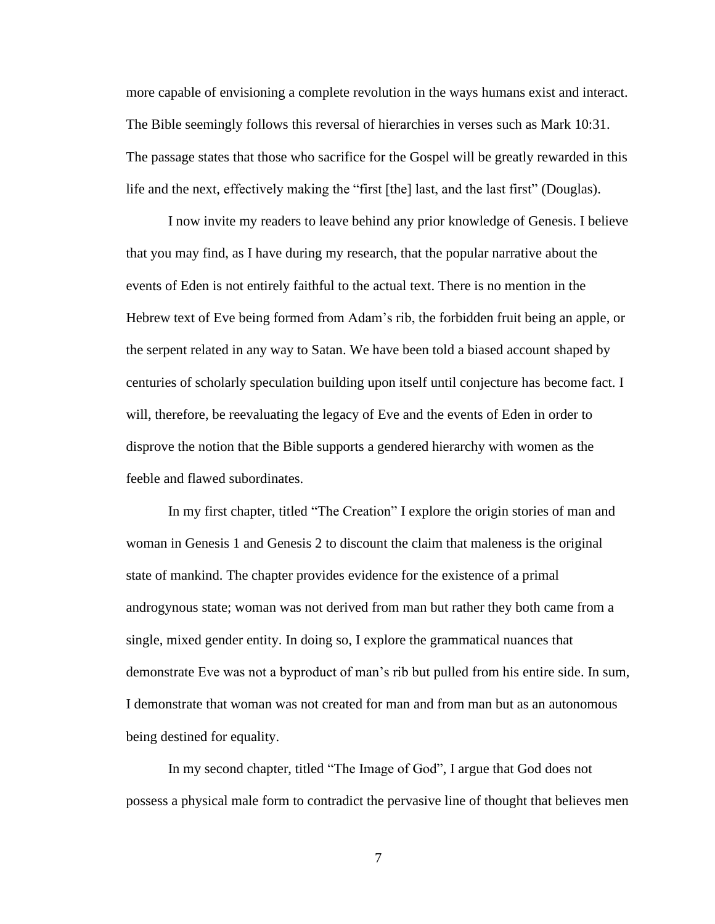more capable of envisioning a complete revolution in the ways humans exist and interact. The Bible seemingly follows this reversal of hierarchies in verses such as Mark 10:31. The passage states that those who sacrifice for the Gospel will be greatly rewarded in this life and the next, effectively making the "first [the] last, and the last first" (Douglas).

I now invite my readers to leave behind any prior knowledge of Genesis. I believe that you may find, as I have during my research, that the popular narrative about the events of Eden is not entirely faithful to the actual text. There is no mention in the Hebrew text of Eve being formed from Adam's rib, the forbidden fruit being an apple, or the serpent related in any way to Satan. We have been told a biased account shaped by centuries of scholarly speculation building upon itself until conjecture has become fact. I will, therefore, be reevaluating the legacy of Eve and the events of Eden in order to disprove the notion that the Bible supports a gendered hierarchy with women as the feeble and flawed subordinates.

In my first chapter, titled "The Creation" I explore the origin stories of man and woman in Genesis 1 and Genesis 2 to discount the claim that maleness is the original state of mankind. The chapter provides evidence for the existence of a primal androgynous state; woman was not derived from man but rather they both came from a single, mixed gender entity. In doing so, I explore the grammatical nuances that demonstrate Eve was not a byproduct of man's rib but pulled from his entire side. In sum, I demonstrate that woman was not created for man and from man but as an autonomous being destined for equality.

In my second chapter, titled "The Image of God", I argue that God does not possess a physical male form to contradict the pervasive line of thought that believes men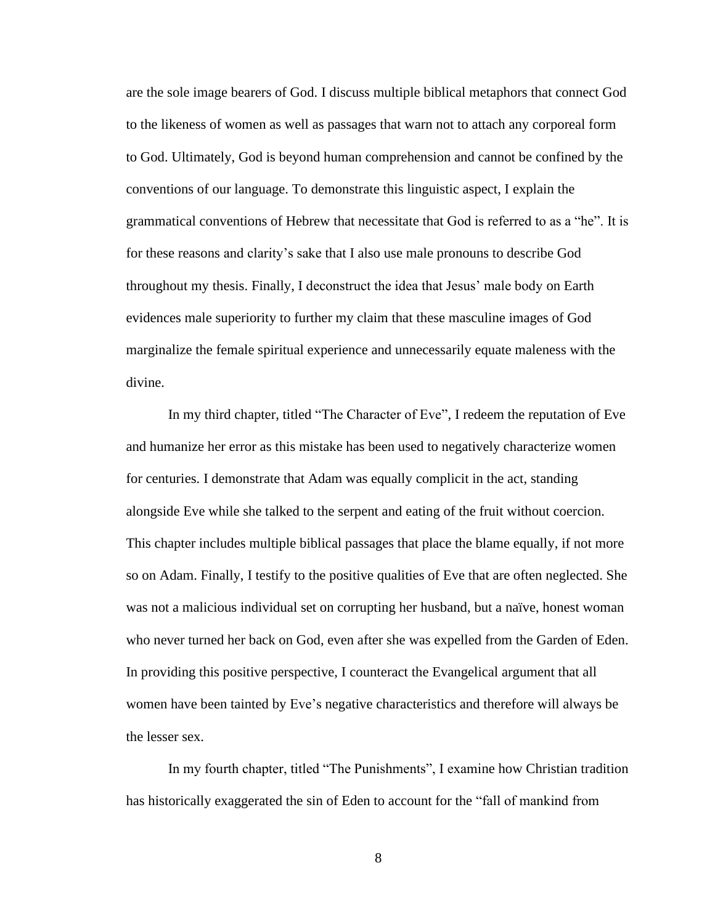are the sole image bearers of God. I discuss multiple biblical metaphors that connect God to the likeness of women as well as passages that warn not to attach any corporeal form to God. Ultimately, God is beyond human comprehension and cannot be confined by the conventions of our language. To demonstrate this linguistic aspect, I explain the grammatical conventions of Hebrew that necessitate that God is referred to as a "he". It is for these reasons and clarity's sake that I also use male pronouns to describe God throughout my thesis. Finally, I deconstruct the idea that Jesus' male body on Earth evidences male superiority to further my claim that these masculine images of God marginalize the female spiritual experience and unnecessarily equate maleness with the divine.

In my third chapter, titled "The Character of Eve", I redeem the reputation of Eve and humanize her error as this mistake has been used to negatively characterize women for centuries. I demonstrate that Adam was equally complicit in the act, standing alongside Eve while she talked to the serpent and eating of the fruit without coercion. This chapter includes multiple biblical passages that place the blame equally, if not more so on Adam. Finally, I testify to the positive qualities of Eve that are often neglected. She was not a malicious individual set on corrupting her husband, but a naïve, honest woman who never turned her back on God, even after she was expelled from the Garden of Eden. In providing this positive perspective, I counteract the Evangelical argument that all women have been tainted by Eve's negative characteristics and therefore will always be the lesser sex.

In my fourth chapter, titled "The Punishments", I examine how Christian tradition has historically exaggerated the sin of Eden to account for the "fall of mankind from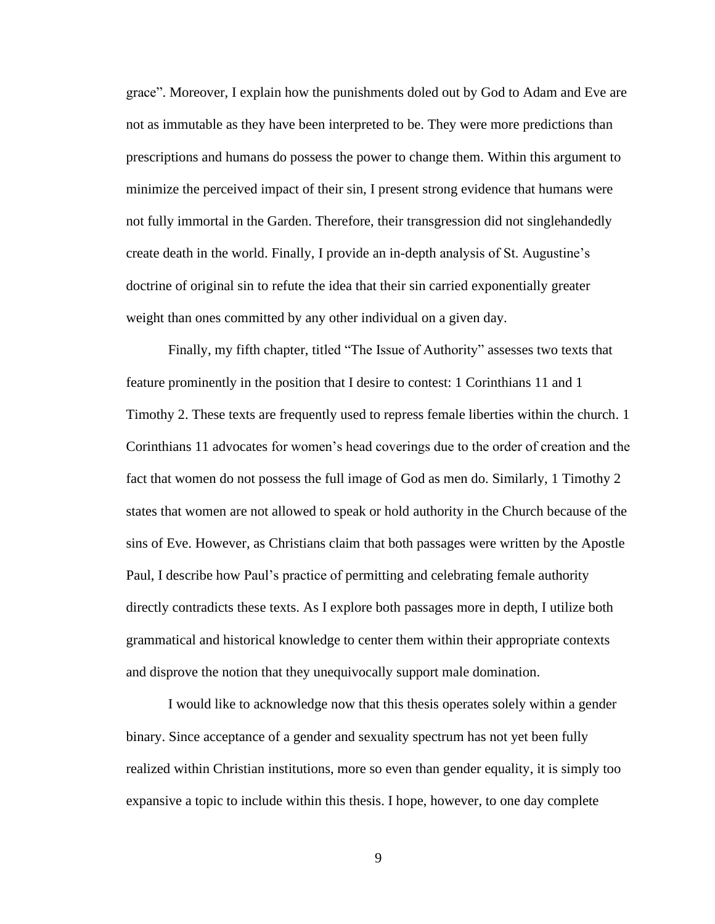grace". Moreover, I explain how the punishments doled out by God to Adam and Eve are not as immutable as they have been interpreted to be. They were more predictions than prescriptions and humans do possess the power to change them. Within this argument to minimize the perceived impact of their sin, I present strong evidence that humans were not fully immortal in the Garden. Therefore, their transgression did not singlehandedly create death in the world. Finally, I provide an in-depth analysis of St. Augustine's doctrine of original sin to refute the idea that their sin carried exponentially greater weight than ones committed by any other individual on a given day.

Finally, my fifth chapter, titled "The Issue of Authority" assesses two texts that feature prominently in the position that I desire to contest: 1 Corinthians 11 and 1 Timothy 2. These texts are frequently used to repress female liberties within the church. 1 Corinthians 11 advocates for women's head coverings due to the order of creation and the fact that women do not possess the full image of God as men do. Similarly, 1 Timothy 2 states that women are not allowed to speak or hold authority in the Church because of the sins of Eve. However, as Christians claim that both passages were written by the Apostle Paul, I describe how Paul's practice of permitting and celebrating female authority directly contradicts these texts. As I explore both passages more in depth, I utilize both grammatical and historical knowledge to center them within their appropriate contexts and disprove the notion that they unequivocally support male domination.

I would like to acknowledge now that this thesis operates solely within a gender binary. Since acceptance of a gender and sexuality spectrum has not yet been fully realized within Christian institutions, more so even than gender equality, it is simply too expansive a topic to include within this thesis. I hope, however, to one day complete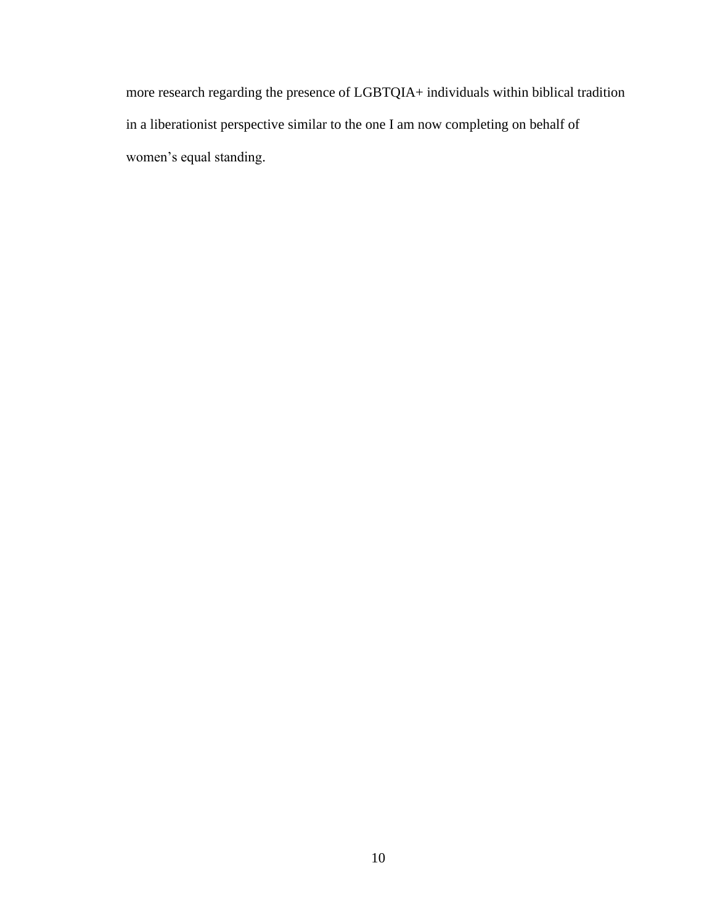more research regarding the presence of LGBTQIA+ individuals within biblical tradition in a liberationist perspective similar to the one I am now completing on behalf of women's equal standing.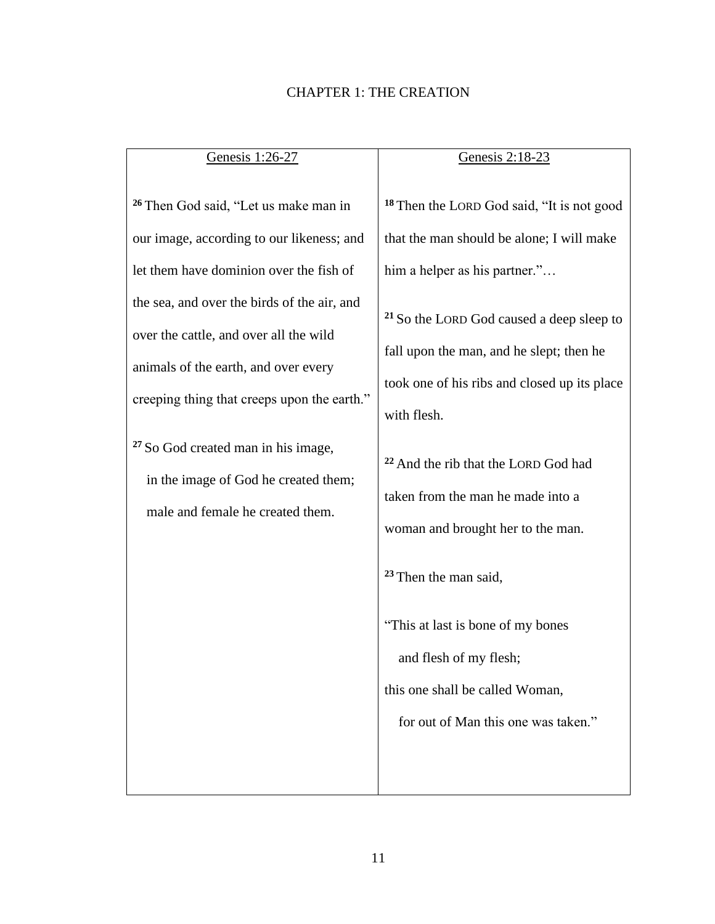## CHAPTER 1: THE CREATION

| Genesis 1:26-27                                                                                                                                                                                                                                                                                                                                                                                                                                                       | Genesis 2:18-23                                                                                                                                                                                                                                                                                                                                                                                                                                                                                                                                                                                    |
|-----------------------------------------------------------------------------------------------------------------------------------------------------------------------------------------------------------------------------------------------------------------------------------------------------------------------------------------------------------------------------------------------------------------------------------------------------------------------|----------------------------------------------------------------------------------------------------------------------------------------------------------------------------------------------------------------------------------------------------------------------------------------------------------------------------------------------------------------------------------------------------------------------------------------------------------------------------------------------------------------------------------------------------------------------------------------------------|
| <sup>26</sup> Then God said, "Let us make man in<br>our image, according to our likeness; and<br>let them have dominion over the fish of<br>the sea, and over the birds of the air, and<br>over the cattle, and over all the wild<br>animals of the earth, and over every<br>creeping thing that creeps upon the earth."<br>with flesh.<br><sup>27</sup> So God created man in his image,<br>in the image of God he created them;<br>male and female he created them. | <sup>18</sup> Then the LORD God said, "It is not good<br>that the man should be alone; I will make<br>him a helper as his partner."<br><sup>21</sup> So the LORD God caused a deep sleep to<br>fall upon the man, and he slept; then he<br>took one of his ribs and closed up its place<br><sup>22</sup> And the rib that the LORD God had<br>taken from the man he made into a<br>woman and brought her to the man.<br><sup>23</sup> Then the man said,<br>"This at last is bone of my bones"<br>and flesh of my flesh;<br>this one shall be called Woman,<br>for out of Man this one was taken." |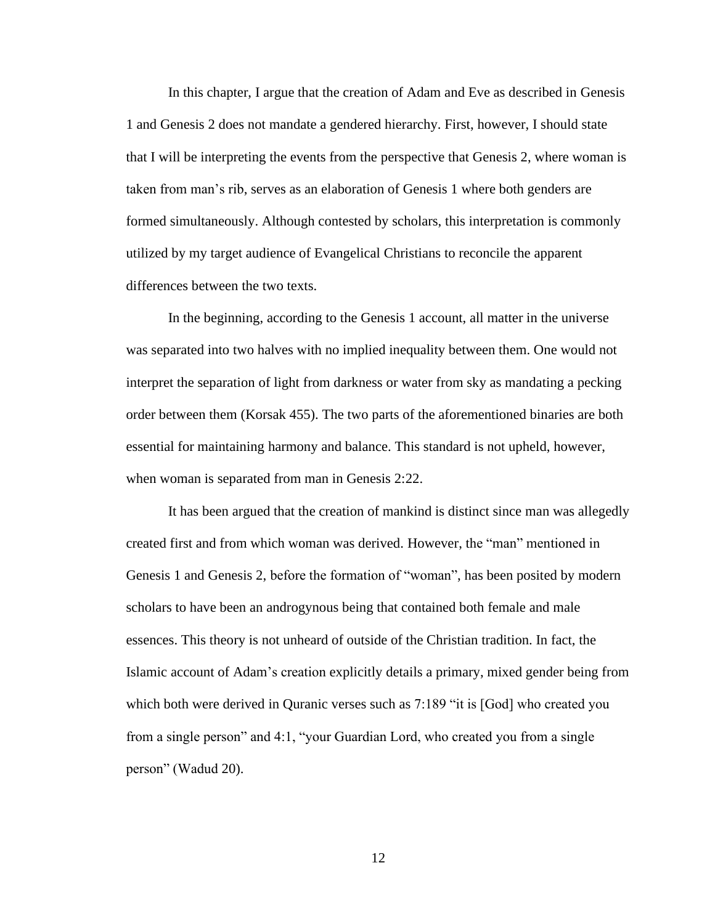In this chapter, I argue that the creation of Adam and Eve as described in Genesis 1 and Genesis 2 does not mandate a gendered hierarchy. First, however, I should state that I will be interpreting the events from the perspective that Genesis 2, where woman is taken from man's rib, serves as an elaboration of Genesis 1 where both genders are formed simultaneously. Although contested by scholars, this interpretation is commonly utilized by my target audience of Evangelical Christians to reconcile the apparent differences between the two texts.

In the beginning, according to the Genesis 1 account, all matter in the universe was separated into two halves with no implied inequality between them. One would not interpret the separation of light from darkness or water from sky as mandating a pecking order between them (Korsak 455). The two parts of the aforementioned binaries are both essential for maintaining harmony and balance. This standard is not upheld, however, when woman is separated from man in Genesis 2:22.

It has been argued that the creation of mankind is distinct since man was allegedly created first and from which woman was derived. However, the "man" mentioned in Genesis 1 and Genesis 2, before the formation of "woman", has been posited by modern scholars to have been an androgynous being that contained both female and male essences. This theory is not unheard of outside of the Christian tradition. In fact, the Islamic account of Adam's creation explicitly details a primary, mixed gender being from which both were derived in Quranic verses such as 7:189 "it is [God] who created you from a single person" and 4:1, "your Guardian Lord, who created you from a single person" (Wadud 20).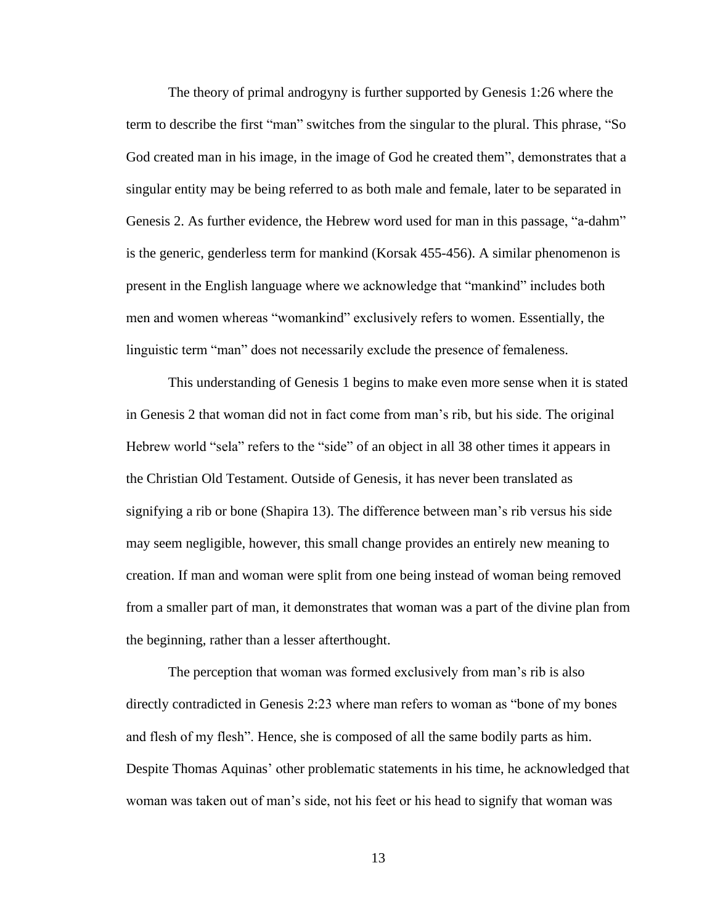The theory of primal androgyny is further supported by Genesis 1:26 where the term to describe the first "man" switches from the singular to the plural. This phrase, "So God created man in his image, in the image of God he created them", demonstrates that a singular entity may be being referred to as both male and female, later to be separated in Genesis 2. As further evidence, the Hebrew word used for man in this passage, "a-dahm" is the generic, genderless term for mankind (Korsak 455-456). A similar phenomenon is present in the English language where we acknowledge that "mankind" includes both men and women whereas "womankind" exclusively refers to women. Essentially, the linguistic term "man" does not necessarily exclude the presence of femaleness.

This understanding of Genesis 1 begins to make even more sense when it is stated in Genesis 2 that woman did not in fact come from man's rib, but his side. The original Hebrew world "sela" refers to the "side" of an object in all 38 other times it appears in the Christian Old Testament. Outside of Genesis, it has never been translated as signifying a rib or bone (Shapira 13). The difference between man's rib versus his side may seem negligible, however, this small change provides an entirely new meaning to creation. If man and woman were split from one being instead of woman being removed from a smaller part of man, it demonstrates that woman was a part of the divine plan from the beginning, rather than a lesser afterthought.

The perception that woman was formed exclusively from man's rib is also directly contradicted in Genesis 2:23 where man refers to woman as "bone of my bones and flesh of my flesh". Hence, she is composed of all the same bodily parts as him. Despite Thomas Aquinas' other problematic statements in his time, he acknowledged that woman was taken out of man's side, not his feet or his head to signify that woman was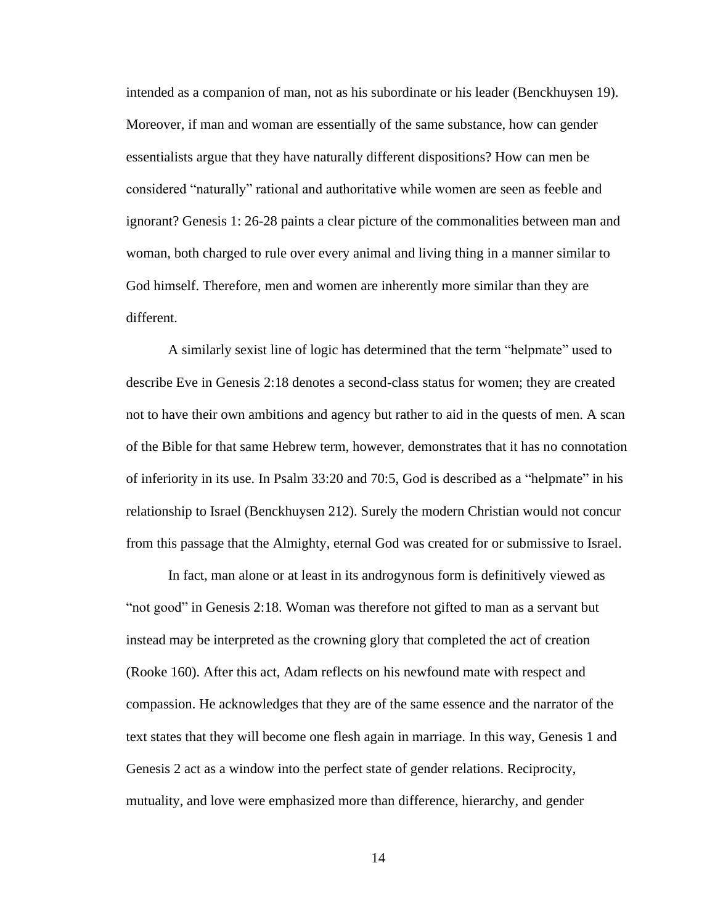intended as a companion of man, not as his subordinate or his leader (Benckhuysen 19). Moreover, if man and woman are essentially of the same substance, how can gender essentialists argue that they have naturally different dispositions? How can men be considered "naturally" rational and authoritative while women are seen as feeble and ignorant? Genesis 1: 26-28 paints a clear picture of the commonalities between man and woman, both charged to rule over every animal and living thing in a manner similar to God himself. Therefore, men and women are inherently more similar than they are different.

A similarly sexist line of logic has determined that the term "helpmate" used to describe Eve in Genesis 2:18 denotes a second-class status for women; they are created not to have their own ambitions and agency but rather to aid in the quests of men. A scan of the Bible for that same Hebrew term, however, demonstrates that it has no connotation of inferiority in its use. In Psalm 33:20 and 70:5, God is described as a "helpmate" in his relationship to Israel (Benckhuysen 212). Surely the modern Christian would not concur from this passage that the Almighty, eternal God was created for or submissive to Israel.

In fact, man alone or at least in its androgynous form is definitively viewed as "not good" in Genesis 2:18. Woman was therefore not gifted to man as a servant but instead may be interpreted as the crowning glory that completed the act of creation (Rooke 160). After this act, Adam reflects on his newfound mate with respect and compassion. He acknowledges that they are of the same essence and the narrator of the text states that they will become one flesh again in marriage. In this way, Genesis 1 and Genesis 2 act as a window into the perfect state of gender relations. Reciprocity, mutuality, and love were emphasized more than difference, hierarchy, and gender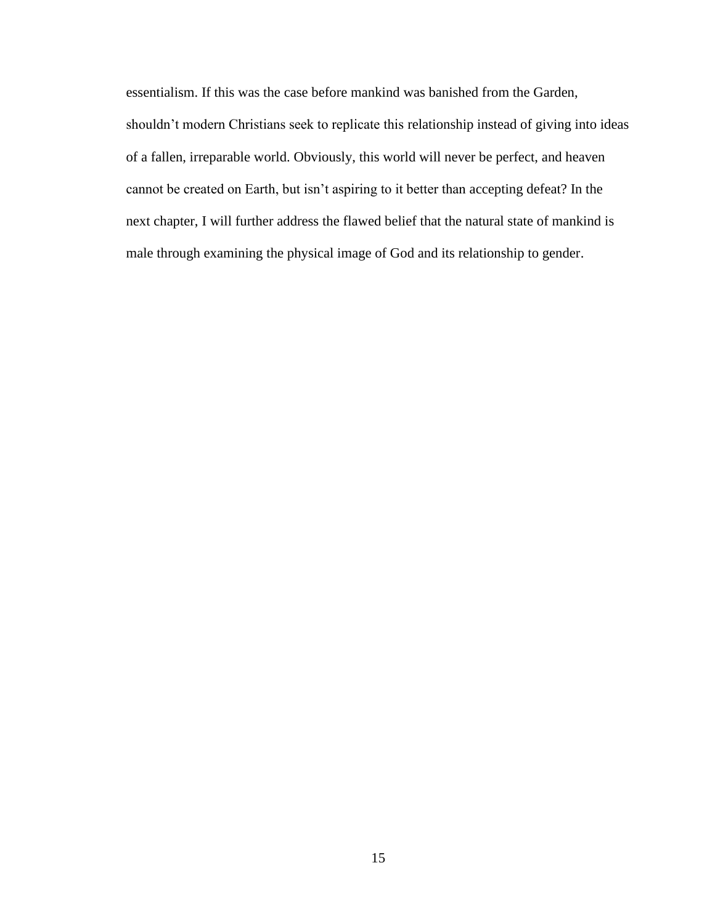essentialism. If this was the case before mankind was banished from the Garden, shouldn't modern Christians seek to replicate this relationship instead of giving into ideas of a fallen, irreparable world. Obviously, this world will never be perfect, and heaven cannot be created on Earth, but isn't aspiring to it better than accepting defeat? In the next chapter, I will further address the flawed belief that the natural state of mankind is male through examining the physical image of God and its relationship to gender.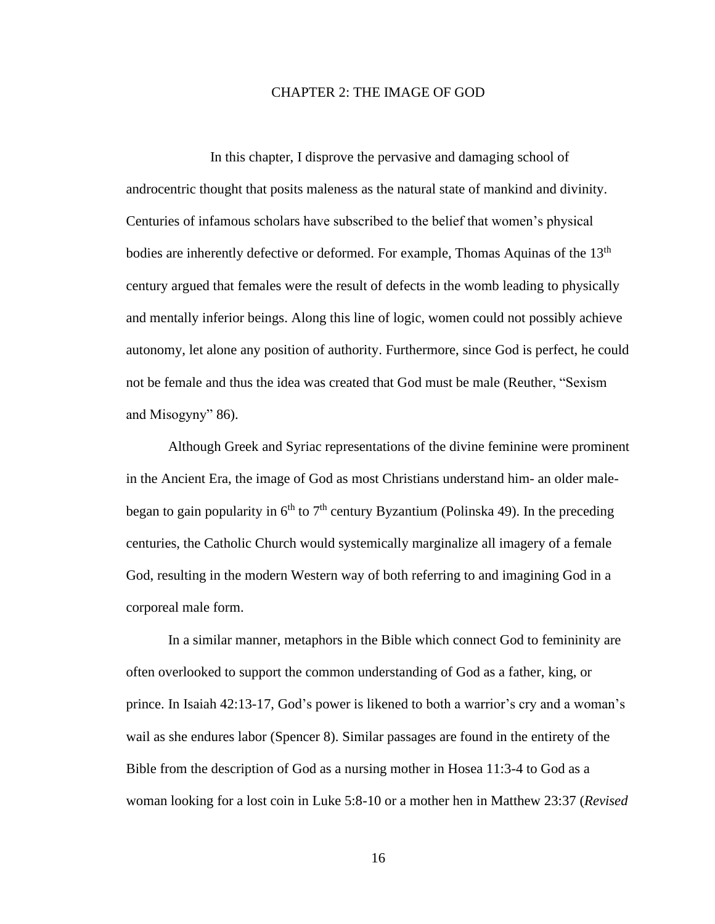#### CHAPTER 2: THE IMAGE OF GOD

In this chapter, I disprove the pervasive and damaging school of androcentric thought that posits maleness as the natural state of mankind and divinity. Centuries of infamous scholars have subscribed to the belief that women's physical bodies are inherently defective or deformed. For example, Thomas Aquinas of the 13<sup>th</sup> century argued that females were the result of defects in the womb leading to physically and mentally inferior beings. Along this line of logic, women could not possibly achieve autonomy, let alone any position of authority. Furthermore, since God is perfect, he could not be female and thus the idea was created that God must be male (Reuther, "Sexism and Misogyny" 86).

Although Greek and Syriac representations of the divine feminine were prominent in the Ancient Era, the image of God as most Christians understand him- an older malebegan to gain popularity in  $6<sup>th</sup>$  to  $7<sup>th</sup>$  century Byzantium (Polinska 49). In the preceding centuries, the Catholic Church would systemically marginalize all imagery of a female God, resulting in the modern Western way of both referring to and imagining God in a corporeal male form.

In a similar manner, metaphors in the Bible which connect God to femininity are often overlooked to support the common understanding of God as a father, king, or prince. In Isaiah 42:13-17, God's power is likened to both a warrior's cry and a woman's wail as she endures labor (Spencer 8). Similar passages are found in the entirety of the Bible from the description of God as a nursing mother in Hosea 11:3-4 to God as a woman looking for a lost coin in Luke 5:8-10 or a mother hen in Matthew 23:37 (*Revised*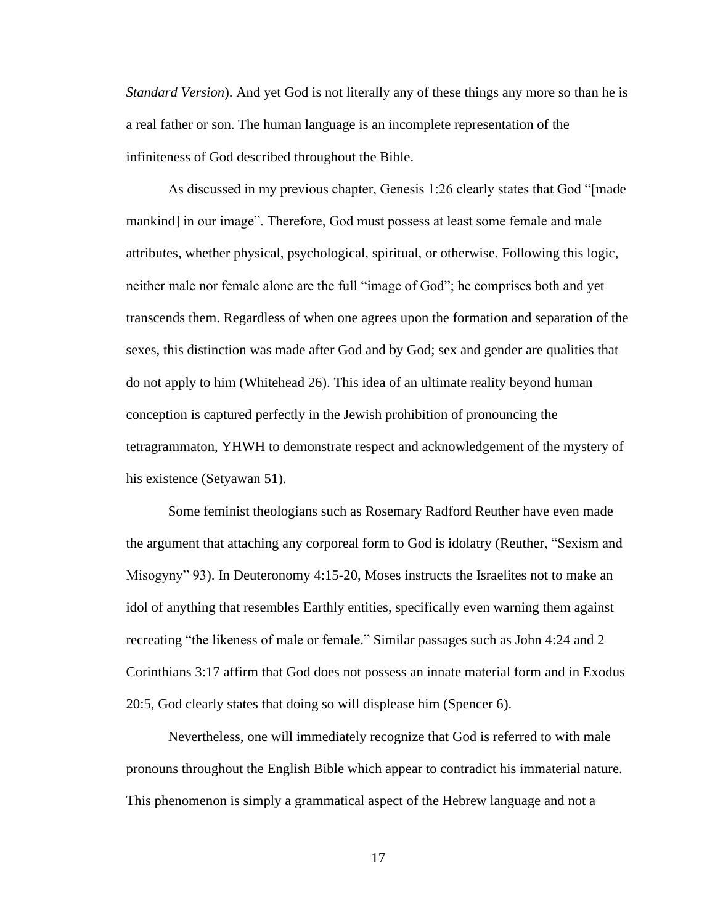*Standard Version*). And yet God is not literally any of these things any more so than he is a real father or son. The human language is an incomplete representation of the infiniteness of God described throughout the Bible.

As discussed in my previous chapter, Genesis 1:26 clearly states that God "[made mankind] in our image". Therefore, God must possess at least some female and male attributes, whether physical, psychological, spiritual, or otherwise. Following this logic, neither male nor female alone are the full "image of God"; he comprises both and yet transcends them. Regardless of when one agrees upon the formation and separation of the sexes, this distinction was made after God and by God; sex and gender are qualities that do not apply to him (Whitehead 26). This idea of an ultimate reality beyond human conception is captured perfectly in the Jewish prohibition of pronouncing the tetragrammaton, YHWH to demonstrate respect and acknowledgement of the mystery of his existence (Setyawan 51).

Some feminist theologians such as Rosemary Radford Reuther have even made the argument that attaching any corporeal form to God is idolatry (Reuther, "Sexism and Misogyny" 93). In Deuteronomy 4:15-20, Moses instructs the Israelites not to make an idol of anything that resembles Earthly entities, specifically even warning them against recreating "the likeness of male or female." Similar passages such as John 4:24 and 2 Corinthians 3:17 affirm that God does not possess an innate material form and in Exodus 20:5, God clearly states that doing so will displease him (Spencer 6).

Nevertheless, one will immediately recognize that God is referred to with male pronouns throughout the English Bible which appear to contradict his immaterial nature. This phenomenon is simply a grammatical aspect of the Hebrew language and not a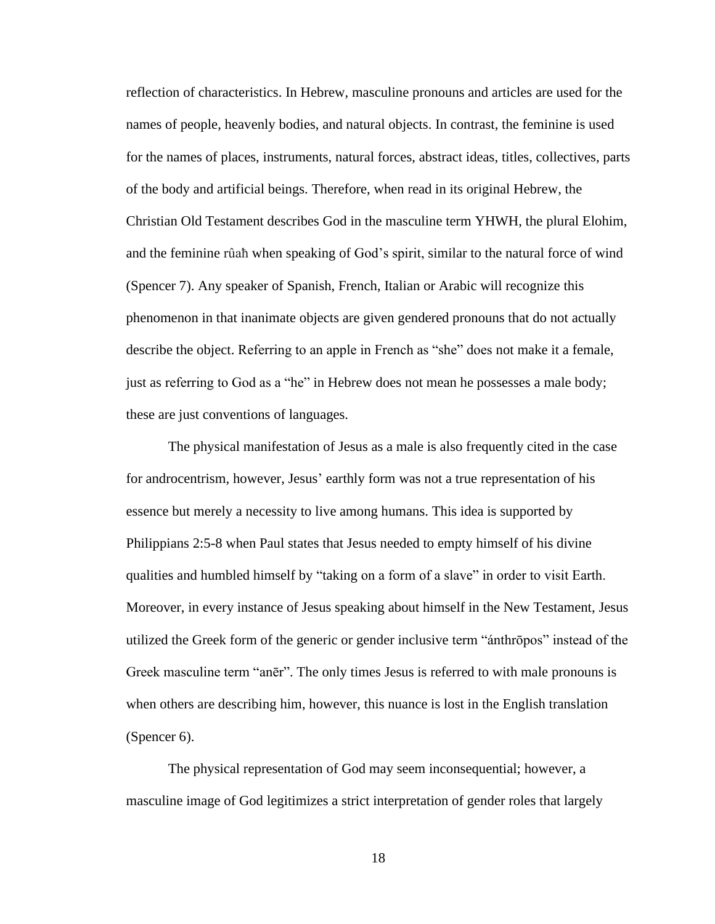reflection of characteristics. In Hebrew, masculine pronouns and articles are used for the names of people, heavenly bodies, and natural objects. In contrast, the feminine is used for the names of places, instruments, natural forces, abstract ideas, titles, collectives, parts of the body and artificial beings. Therefore, when read in its original Hebrew, the Christian Old Testament describes God in the masculine term YHWH, the plural Elohim, and the feminine rûaħ when speaking of God's spirit, similar to the natural force of wind (Spencer 7). Any speaker of Spanish, French, Italian or Arabic will recognize this phenomenon in that inanimate objects are given gendered pronouns that do not actually describe the object. Referring to an apple in French as "she" does not make it a female, just as referring to God as a "he" in Hebrew does not mean he possesses a male body; these are just conventions of languages.

The physical manifestation of Jesus as a male is also frequently cited in the case for androcentrism, however, Jesus' earthly form was not a true representation of his essence but merely a necessity to live among humans. This idea is supported by Philippians 2:5-8 when Paul states that Jesus needed to empty himself of his divine qualities and humbled himself by "taking on a form of a slave" in order to visit Earth. Moreover, in every instance of Jesus speaking about himself in the New Testament, Jesus utilized the Greek form of the generic or gender inclusive term "ánthrōpos" instead of the Greek masculine term "anēr". The only times Jesus is referred to with male pronouns is when others are describing him, however, this nuance is lost in the English translation (Spencer 6).

The physical representation of God may seem inconsequential; however, a masculine image of God legitimizes a strict interpretation of gender roles that largely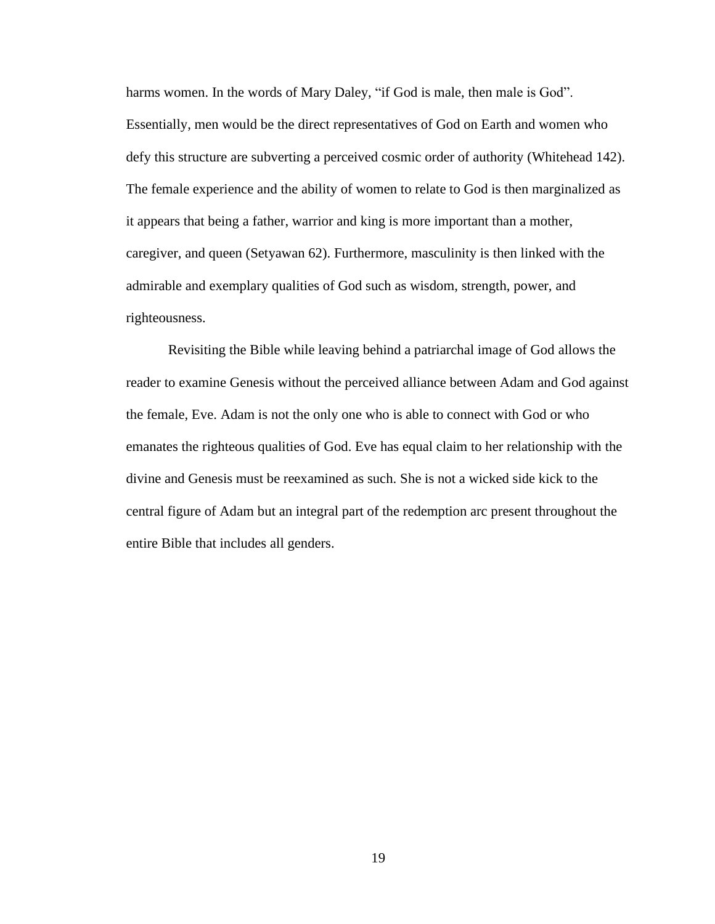harms women. In the words of Mary Daley, "if God is male, then male is God". Essentially, men would be the direct representatives of God on Earth and women who defy this structure are subverting a perceived cosmic order of authority (Whitehead 142). The female experience and the ability of women to relate to God is then marginalized as it appears that being a father, warrior and king is more important than a mother, caregiver, and queen (Setyawan 62). Furthermore, masculinity is then linked with the admirable and exemplary qualities of God such as wisdom, strength, power, and righteousness.

Revisiting the Bible while leaving behind a patriarchal image of God allows the reader to examine Genesis without the perceived alliance between Adam and God against the female, Eve. Adam is not the only one who is able to connect with God or who emanates the righteous qualities of God. Eve has equal claim to her relationship with the divine and Genesis must be reexamined as such. She is not a wicked side kick to the central figure of Adam but an integral part of the redemption arc present throughout the entire Bible that includes all genders.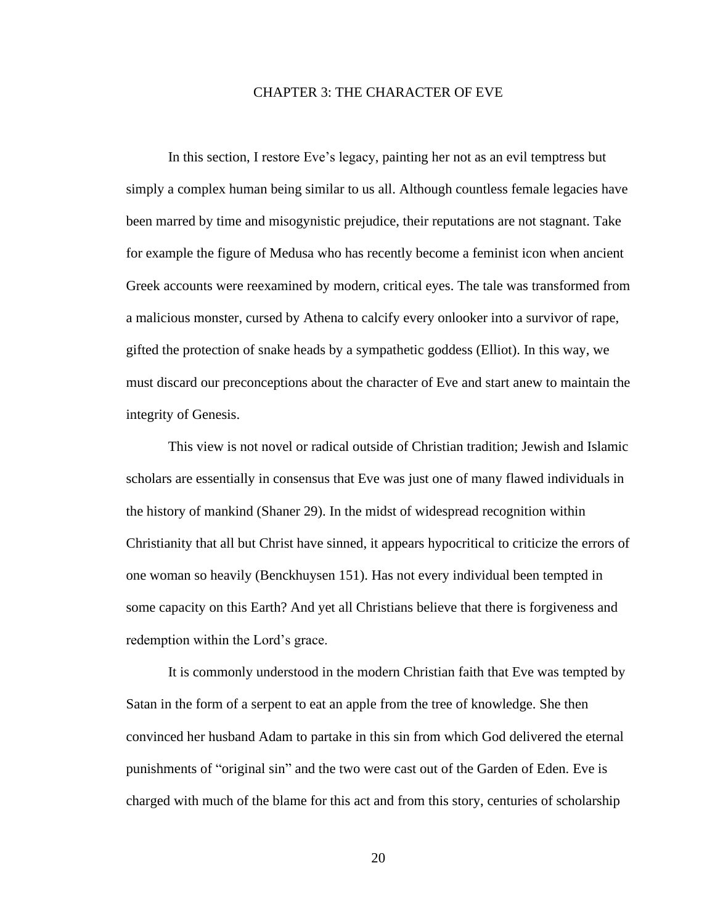#### CHAPTER 3: THE CHARACTER OF EVE

In this section, I restore Eve's legacy, painting her not as an evil temptress but simply a complex human being similar to us all. Although countless female legacies have been marred by time and misogynistic prejudice, their reputations are not stagnant. Take for example the figure of Medusa who has recently become a feminist icon when ancient Greek accounts were reexamined by modern, critical eyes. The tale was transformed from a malicious monster, cursed by Athena to calcify every onlooker into a survivor of rape, gifted the protection of snake heads by a sympathetic goddess (Elliot). In this way, we must discard our preconceptions about the character of Eve and start anew to maintain the integrity of Genesis.

This view is not novel or radical outside of Christian tradition; Jewish and Islamic scholars are essentially in consensus that Eve was just one of many flawed individuals in the history of mankind (Shaner 29). In the midst of widespread recognition within Christianity that all but Christ have sinned, it appears hypocritical to criticize the errors of one woman so heavily (Benckhuysen 151). Has not every individual been tempted in some capacity on this Earth? And yet all Christians believe that there is forgiveness and redemption within the Lord's grace.

It is commonly understood in the modern Christian faith that Eve was tempted by Satan in the form of a serpent to eat an apple from the tree of knowledge. She then convinced her husband Adam to partake in this sin from which God delivered the eternal punishments of "original sin" and the two were cast out of the Garden of Eden. Eve is charged with much of the blame for this act and from this story, centuries of scholarship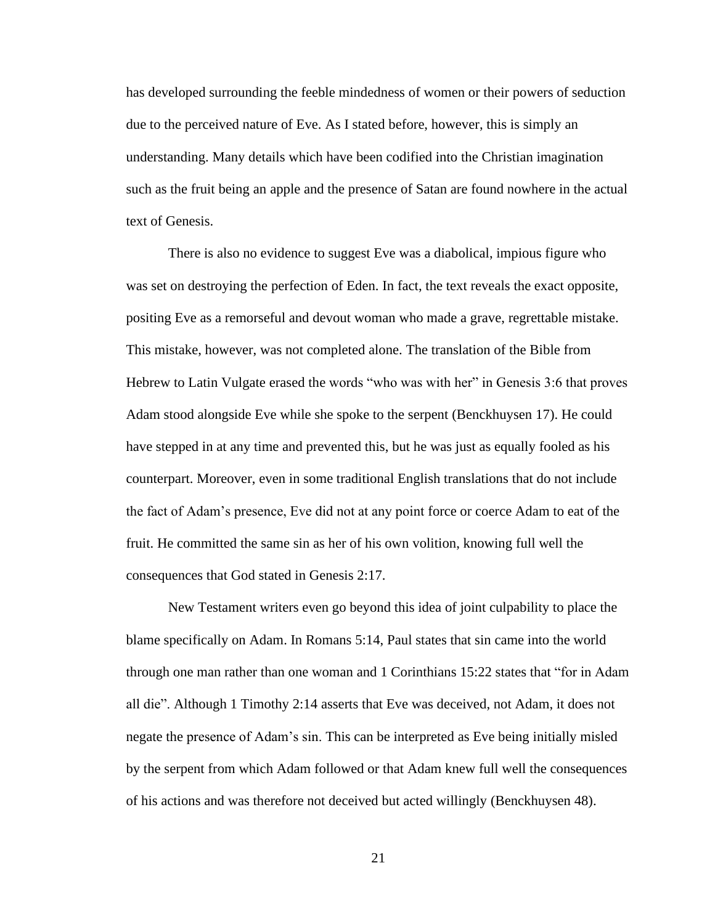has developed surrounding the feeble mindedness of women or their powers of seduction due to the perceived nature of Eve. As I stated before, however, this is simply an understanding. Many details which have been codified into the Christian imagination such as the fruit being an apple and the presence of Satan are found nowhere in the actual text of Genesis.

There is also no evidence to suggest Eve was a diabolical, impious figure who was set on destroying the perfection of Eden. In fact, the text reveals the exact opposite, positing Eve as a remorseful and devout woman who made a grave, regrettable mistake. This mistake, however, was not completed alone. The translation of the Bible from Hebrew to Latin Vulgate erased the words "who was with her" in Genesis 3:6 that proves Adam stood alongside Eve while she spoke to the serpent (Benckhuysen 17). He could have stepped in at any time and prevented this, but he was just as equally fooled as his counterpart. Moreover, even in some traditional English translations that do not include the fact of Adam's presence, Eve did not at any point force or coerce Adam to eat of the fruit. He committed the same sin as her of his own volition, knowing full well the consequences that God stated in Genesis 2:17.

New Testament writers even go beyond this idea of joint culpability to place the blame specifically on Adam. In Romans 5:14, Paul states that sin came into the world through one man rather than one woman and 1 Corinthians 15:22 states that "for in Adam all die". Although 1 Timothy 2:14 asserts that Eve was deceived, not Adam, it does not negate the presence of Adam's sin. This can be interpreted as Eve being initially misled by the serpent from which Adam followed or that Adam knew full well the consequences of his actions and was therefore not deceived but acted willingly (Benckhuysen 48).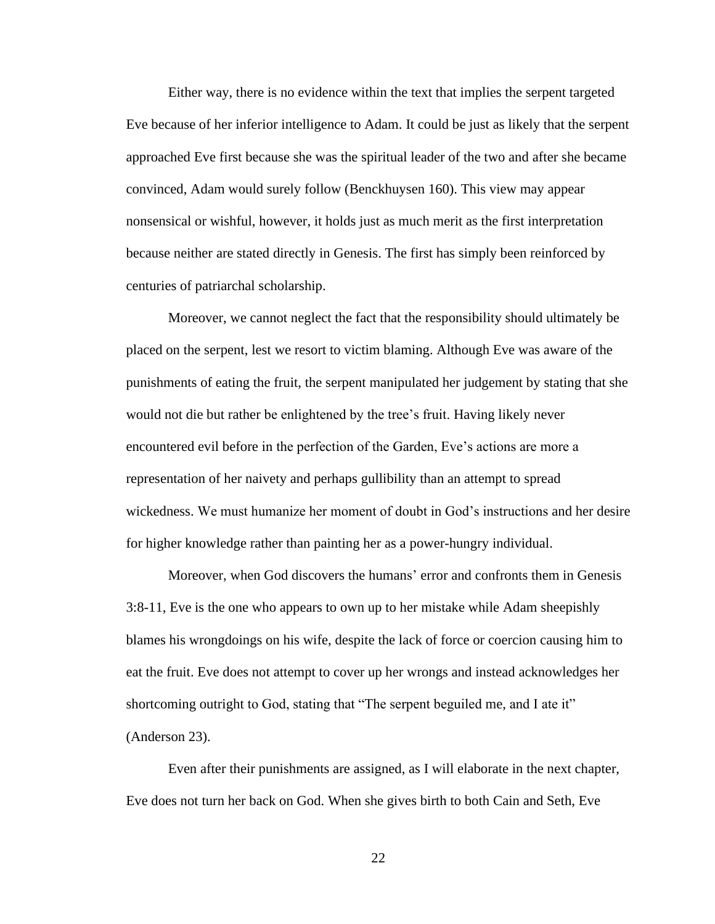Either way, there is no evidence within the text that implies the serpent targeted Eve because of her inferior intelligence to Adam. It could be just as likely that the serpent approached Eve first because she was the spiritual leader of the two and after she became convinced, Adam would surely follow (Benckhuysen 160). This view may appear nonsensical or wishful, however, it holds just as much merit as the first interpretation because neither are stated directly in Genesis. The first has simply been reinforced by centuries of patriarchal scholarship.

Moreover, we cannot neglect the fact that the responsibility should ultimately be placed on the serpent, lest we resort to victim blaming. Although Eve was aware of the punishments of eating the fruit, the serpent manipulated her judgement by stating that she would not die but rather be enlightened by the tree's fruit. Having likely never encountered evil before in the perfection of the Garden, Eve's actions are more a representation of her naivety and perhaps gullibility than an attempt to spread wickedness. We must humanize her moment of doubt in God's instructions and her desire for higher knowledge rather than painting her as a power-hungry individual.

Moreover, when God discovers the humans' error and confronts them in Genesis 3:8-11, Eve is the one who appears to own up to her mistake while Adam sheepishly blames his wrongdoings on his wife, despite the lack of force or coercion causing him to eat the fruit. Eve does not attempt to cover up her wrongs and instead acknowledges her shortcoming outright to God, stating that "The serpent beguiled me, and I ate it" (Anderson 23).

Even after their punishments are assigned, as I will elaborate in the next chapter, Eve does not turn her back on God. When she gives birth to both Cain and Seth, Eve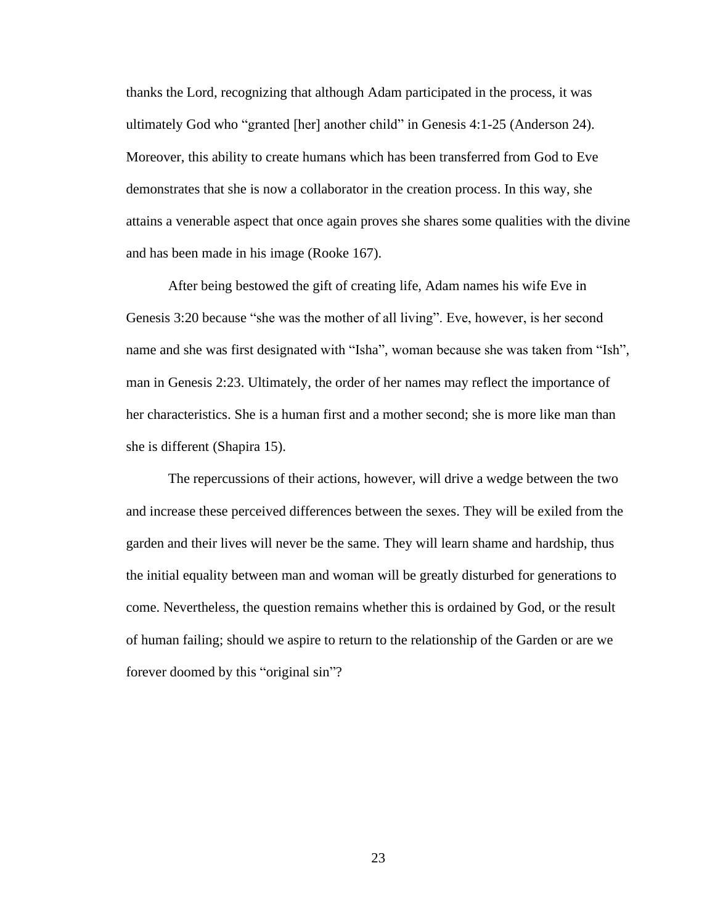thanks the Lord, recognizing that although Adam participated in the process, it was ultimately God who "granted [her] another child" in Genesis 4:1-25 (Anderson 24). Moreover, this ability to create humans which has been transferred from God to Eve demonstrates that she is now a collaborator in the creation process. In this way, she attains a venerable aspect that once again proves she shares some qualities with the divine and has been made in his image (Rooke 167).

After being bestowed the gift of creating life, Adam names his wife Eve in Genesis 3:20 because "she was the mother of all living". Eve, however, is her second name and she was first designated with "Isha", woman because she was taken from "Ish", man in Genesis 2:23. Ultimately, the order of her names may reflect the importance of her characteristics. She is a human first and a mother second; she is more like man than she is different (Shapira 15).

The repercussions of their actions, however, will drive a wedge between the two and increase these perceived differences between the sexes. They will be exiled from the garden and their lives will never be the same. They will learn shame and hardship, thus the initial equality between man and woman will be greatly disturbed for generations to come. Nevertheless, the question remains whether this is ordained by God, or the result of human failing; should we aspire to return to the relationship of the Garden or are we forever doomed by this "original sin"?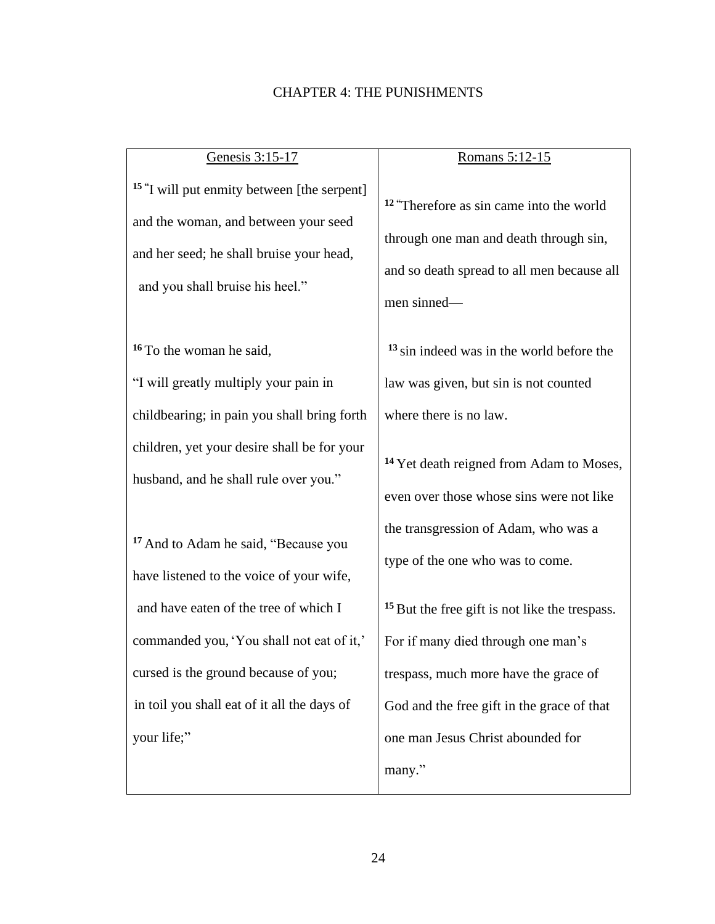#### CHAPTER 4: THE PUNISHMENTS

# Genesis 3:15-17 **15 "** I will put enmity between [the serpent] and the woman, and between your seed and her seed; he shall bruise your head, and you shall bruise his heel." **<sup>16</sup>** To the woman he said, "I will greatly multiply your pain in childbearing; in pain you shall bring forth children, yet your desire shall be for your husband, and he shall rule over you." **<sup>17</sup>** And to Adam he said, "Because you have listened to the voice of your wife, and have eaten of the tree of which I commanded you,'You shall not eat of it,' cursed is the ground because of you; Romans 5:12-15 men sinned—

in toil you shall eat of it all the days of

your life;"

**<sup>12</sup> "**Therefore as sin came into the world through one man and death through sin, and so death spread to all men because all

**<sup>13</sup>** sin indeed was in the world before the law was given, but sin is not counted where there is no law.

**<sup>14</sup>** Yet death reigned from Adam to Moses, even over those whose sins were not like the transgression of Adam, who was a type of the one who was to come.

**<sup>15</sup>**But the free gift is not like the trespass. For if many died through one man's trespass, much more have the grace of God and the free gift in the grace of that one man Jesus Christ abounded for many."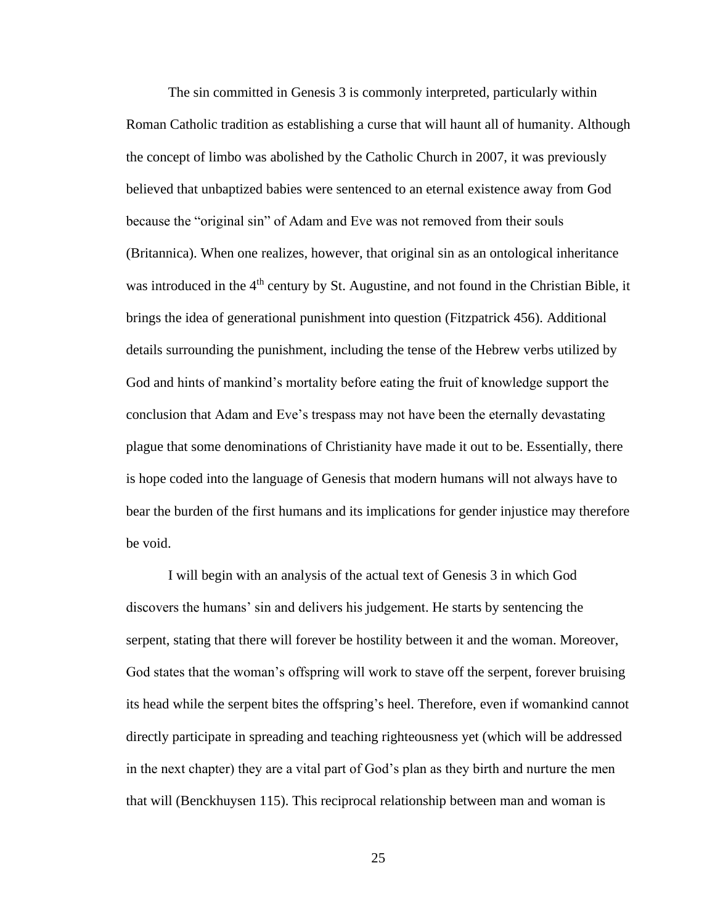The sin committed in Genesis 3 is commonly interpreted, particularly within Roman Catholic tradition as establishing a curse that will haunt all of humanity. Although the concept of limbo was abolished by the Catholic Church in 2007, it was previously believed that unbaptized babies were sentenced to an eternal existence away from God because the "original sin" of Adam and Eve was not removed from their souls (Britannica). When one realizes, however, that original sin as an ontological inheritance was introduced in the 4<sup>th</sup> century by St. Augustine, and not found in the Christian Bible, it brings the idea of generational punishment into question (Fitzpatrick 456). Additional details surrounding the punishment, including the tense of the Hebrew verbs utilized by God and hints of mankind's mortality before eating the fruit of knowledge support the conclusion that Adam and Eve's trespass may not have been the eternally devastating plague that some denominations of Christianity have made it out to be. Essentially, there is hope coded into the language of Genesis that modern humans will not always have to bear the burden of the first humans and its implications for gender injustice may therefore be void.

I will begin with an analysis of the actual text of Genesis 3 in which God discovers the humans' sin and delivers his judgement. He starts by sentencing the serpent, stating that there will forever be hostility between it and the woman. Moreover, God states that the woman's offspring will work to stave off the serpent, forever bruising its head while the serpent bites the offspring's heel. Therefore, even if womankind cannot directly participate in spreading and teaching righteousness yet (which will be addressed in the next chapter) they are a vital part of God's plan as they birth and nurture the men that will (Benckhuysen 115). This reciprocal relationship between man and woman is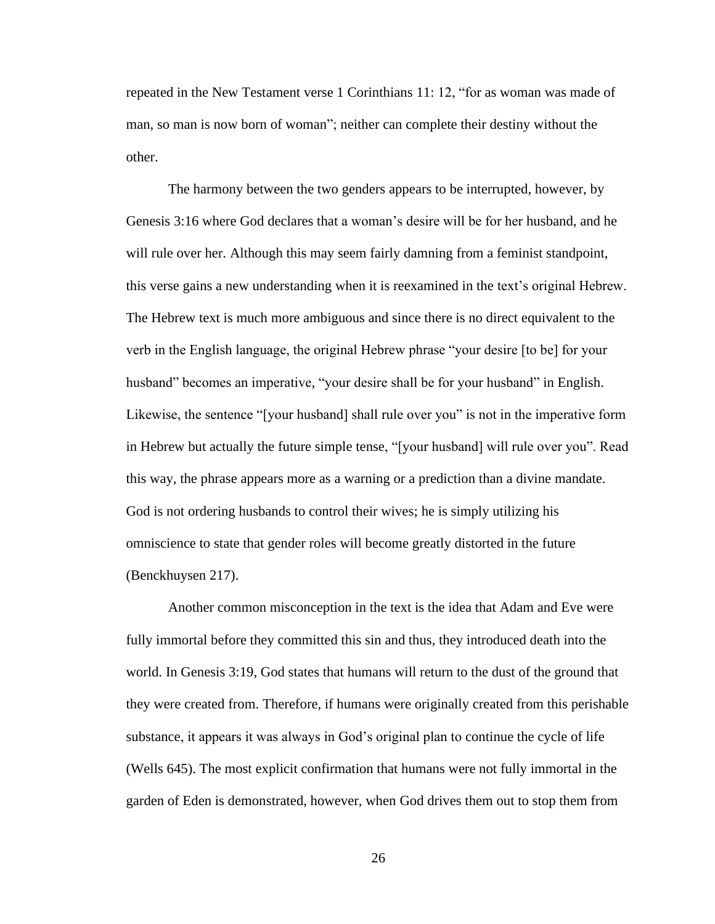repeated in the New Testament verse 1 Corinthians 11: 12, "for as woman was made of man, so man is now born of woman"; neither can complete their destiny without the other.

The harmony between the two genders appears to be interrupted, however, by Genesis 3:16 where God declares that a woman's desire will be for her husband, and he will rule over her. Although this may seem fairly damning from a feminist standpoint, this verse gains a new understanding when it is reexamined in the text's original Hebrew. The Hebrew text is much more ambiguous and since there is no direct equivalent to the verb in the English language, the original Hebrew phrase "your desire [to be] for your husband" becomes an imperative, "your desire shall be for your husband" in English. Likewise, the sentence "[your husband] shall rule over you" is not in the imperative form in Hebrew but actually the future simple tense, "[your husband] will rule over you". Read this way, the phrase appears more as a warning or a prediction than a divine mandate. God is not ordering husbands to control their wives; he is simply utilizing his omniscience to state that gender roles will become greatly distorted in the future (Benckhuysen 217).

Another common misconception in the text is the idea that Adam and Eve were fully immortal before they committed this sin and thus, they introduced death into the world. In Genesis 3:19, God states that humans will return to the dust of the ground that they were created from. Therefore, if humans were originally created from this perishable substance, it appears it was always in God's original plan to continue the cycle of life (Wells 645). The most explicit confirmation that humans were not fully immortal in the garden of Eden is demonstrated, however, when God drives them out to stop them from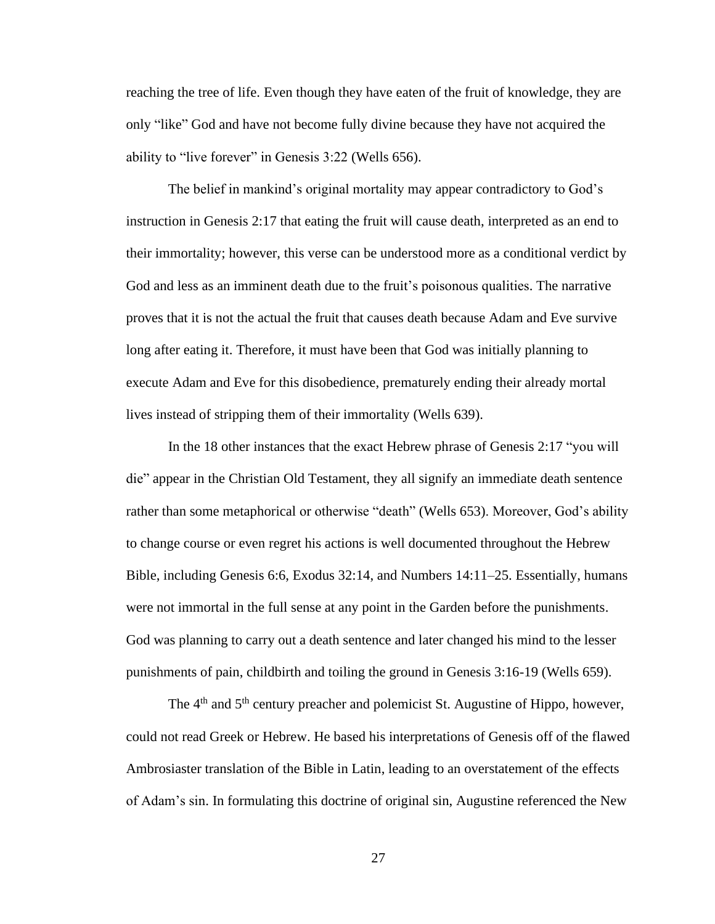reaching the tree of life. Even though they have eaten of the fruit of knowledge, they are only "like" God and have not become fully divine because they have not acquired the ability to "live forever" in Genesis 3:22 (Wells 656).

The belief in mankind's original mortality may appear contradictory to God's instruction in Genesis 2:17 that eating the fruit will cause death, interpreted as an end to their immortality; however, this verse can be understood more as a conditional verdict by God and less as an imminent death due to the fruit's poisonous qualities. The narrative proves that it is not the actual the fruit that causes death because Adam and Eve survive long after eating it. Therefore, it must have been that God was initially planning to execute Adam and Eve for this disobedience, prematurely ending their already mortal lives instead of stripping them of their immortality (Wells 639).

In the 18 other instances that the exact Hebrew phrase of Genesis 2:17 "you will die" appear in the Christian Old Testament, they all signify an immediate death sentence rather than some metaphorical or otherwise "death" (Wells 653). Moreover, God's ability to change course or even regret his actions is well documented throughout the Hebrew Bible, including Genesis 6:6, Exodus 32:14, and Numbers 14:11–25. Essentially, humans were not immortal in the full sense at any point in the Garden before the punishments. God was planning to carry out a death sentence and later changed his mind to the lesser punishments of pain, childbirth and toiling the ground in Genesis 3:16-19 (Wells 659).

The 4<sup>th</sup> and 5<sup>th</sup> century preacher and polemicist St. Augustine of Hippo, however, could not read Greek or Hebrew. He based his interpretations of Genesis off of the flawed Ambrosiaster translation of the Bible in Latin, leading to an overstatement of the effects of Adam's sin. In formulating this doctrine of original sin, Augustine referenced the New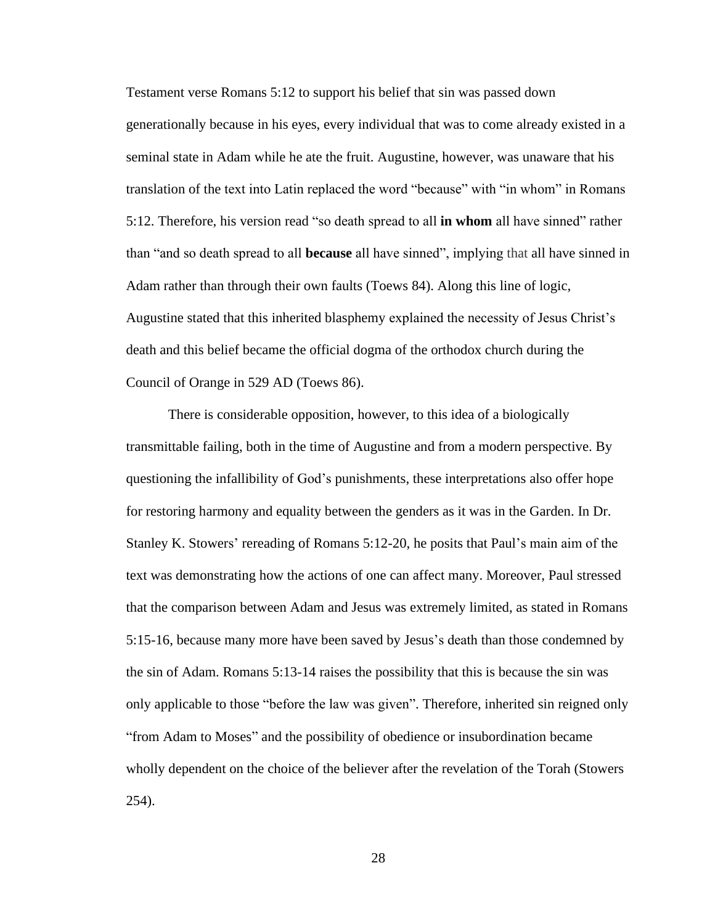Testament verse Romans 5:12 to support his belief that sin was passed down generationally because in his eyes, every individual that was to come already existed in a seminal state in Adam while he ate the fruit. Augustine, however, was unaware that his translation of the text into Latin replaced the word "because" with "in whom" in Romans 5:12. Therefore, his version read "so death spread to all **in whom** all have sinned" rather than "and so death spread to all **because** all have sinned", implying that all have sinned in Adam rather than through their own faults (Toews 84). Along this line of logic, Augustine stated that this inherited blasphemy explained the necessity of Jesus Christ's death and this belief became the official dogma of the orthodox church during the Council of Orange in 529 AD (Toews 86).

There is considerable opposition, however, to this idea of a biologically transmittable failing, both in the time of Augustine and from a modern perspective. By questioning the infallibility of God's punishments, these interpretations also offer hope for restoring harmony and equality between the genders as it was in the Garden. In Dr. Stanley K. Stowers' rereading of Romans 5:12-20, he posits that Paul's main aim of the text was demonstrating how the actions of one can affect many. Moreover, Paul stressed that the comparison between Adam and Jesus was extremely limited, as stated in Romans 5:15-16, because many more have been saved by Jesus's death than those condemned by the sin of Adam. Romans 5:13-14 raises the possibility that this is because the sin was only applicable to those "before the law was given". Therefore, inherited sin reigned only "from Adam to Moses" and the possibility of obedience or insubordination became wholly dependent on the choice of the believer after the revelation of the Torah (Stowers 254).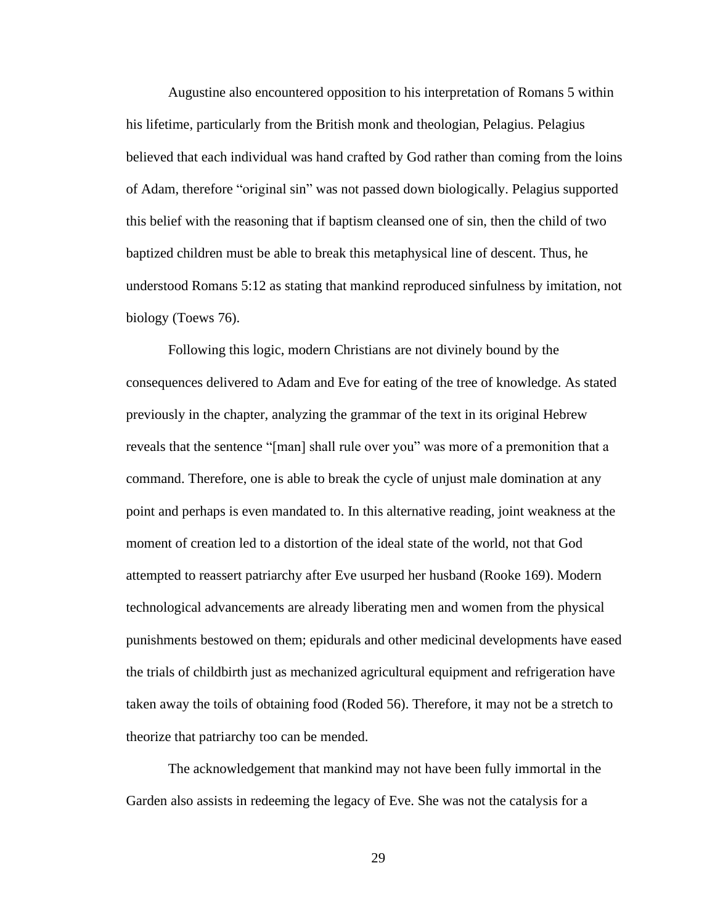Augustine also encountered opposition to his interpretation of Romans 5 within his lifetime, particularly from the British monk and theologian, Pelagius. Pelagius believed that each individual was hand crafted by God rather than coming from the loins of Adam, therefore "original sin" was not passed down biologically. Pelagius supported this belief with the reasoning that if baptism cleansed one of sin, then the child of two baptized children must be able to break this metaphysical line of descent. Thus, he understood Romans 5:12 as stating that mankind reproduced sinfulness by imitation, not biology (Toews 76).

Following this logic, modern Christians are not divinely bound by the consequences delivered to Adam and Eve for eating of the tree of knowledge. As stated previously in the chapter, analyzing the grammar of the text in its original Hebrew reveals that the sentence "[man] shall rule over you" was more of a premonition that a command. Therefore, one is able to break the cycle of unjust male domination at any point and perhaps is even mandated to. In this alternative reading, joint weakness at the moment of creation led to a distortion of the ideal state of the world, not that God attempted to reassert patriarchy after Eve usurped her husband (Rooke 169). Modern technological advancements are already liberating men and women from the physical punishments bestowed on them; epidurals and other medicinal developments have eased the trials of childbirth just as mechanized agricultural equipment and refrigeration have taken away the toils of obtaining food (Roded 56). Therefore, it may not be a stretch to theorize that patriarchy too can be mended.

The acknowledgement that mankind may not have been fully immortal in the Garden also assists in redeeming the legacy of Eve. She was not the catalysis for a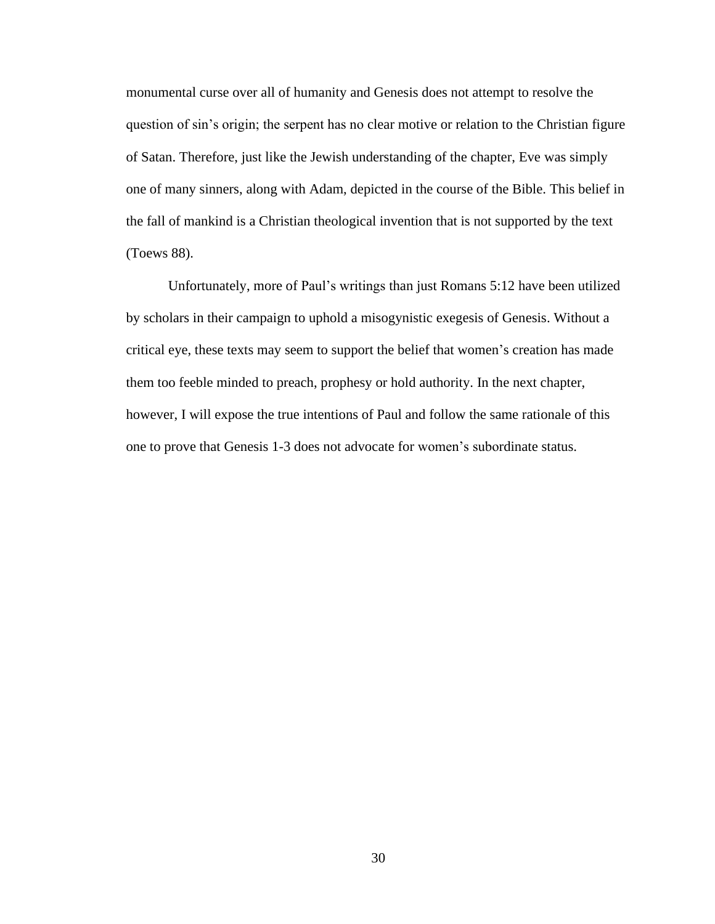monumental curse over all of humanity and Genesis does not attempt to resolve the question of sin's origin; the serpent has no clear motive or relation to the Christian figure of Satan. Therefore, just like the Jewish understanding of the chapter, Eve was simply one of many sinners, along with Adam, depicted in the course of the Bible. This belief in the fall of mankind is a Christian theological invention that is not supported by the text (Toews 88).

Unfortunately, more of Paul's writings than just Romans 5:12 have been utilized by scholars in their campaign to uphold a misogynistic exegesis of Genesis. Without a critical eye, these texts may seem to support the belief that women's creation has made them too feeble minded to preach, prophesy or hold authority. In the next chapter, however, I will expose the true intentions of Paul and follow the same rationale of this one to prove that Genesis 1-3 does not advocate for women's subordinate status.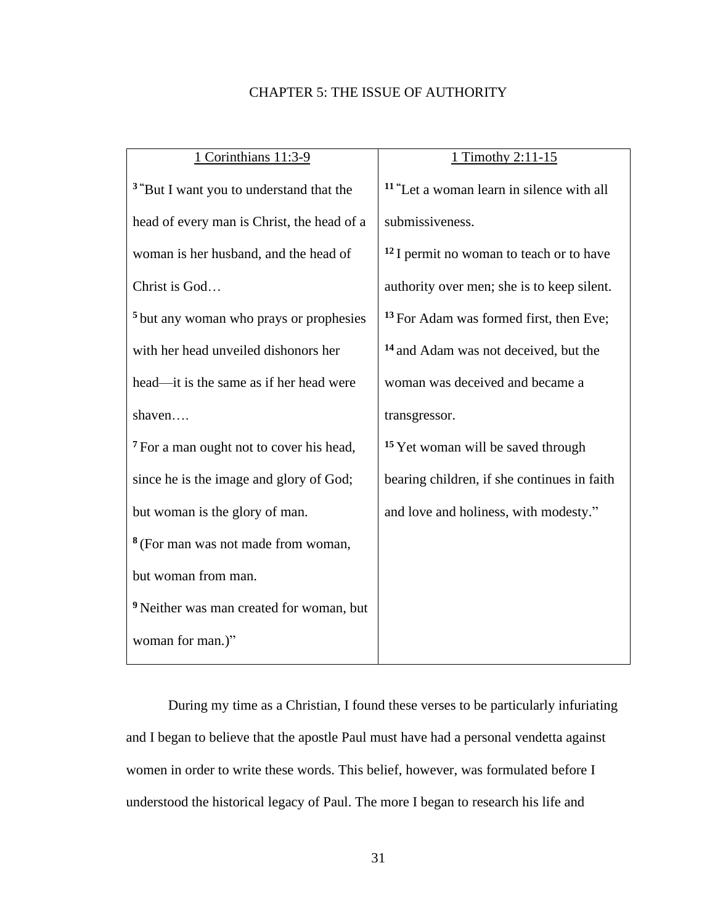### CHAPTER 5: THE ISSUE OF AUTHORITY

| 1 Corinthians 11:3-9                                | 1 Timothy 2:11-15                                    |
|-----------------------------------------------------|------------------------------------------------------|
| <sup>3</sup> "But I want you to understand that the | <sup>11</sup> "Let a woman learn in silence with all |
| head of every man is Christ, the head of a          | submissiveness.                                      |
| woman is her husband, and the head of               | <sup>12</sup> I permit no woman to teach or to have  |
| Christ is God                                       | authority over men; she is to keep silent.           |
| <sup>5</sup> but any woman who prays or prophesies  | <sup>13</sup> For Adam was formed first, then Eve;   |
| with her head unveiled dishonors her                | <sup>14</sup> and Adam was not deceived, but the     |
| head—it is the same as if her head were             | woman was deceived and became a                      |
| shaven                                              | transgressor.                                        |
| <sup>7</sup> For a man ought not to cover his head, | <sup>15</sup> Yet woman will be saved through        |
| since he is the image and glory of God;             | bearing children, if she continues in faith          |
| but woman is the glory of man.                      | and love and holiness, with modesty."                |
| <sup>8</sup> (For man was not made from woman,      |                                                      |
| but woman from man.                                 |                                                      |
| <sup>9</sup> Neither was man created for woman, but |                                                      |
| woman for man.)"                                    |                                                      |

During my time as a Christian, I found these verses to be particularly infuriating and I began to believe that the apostle Paul must have had a personal vendetta against women in order to write these words. This belief, however, was formulated before I understood the historical legacy of Paul. The more I began to research his life and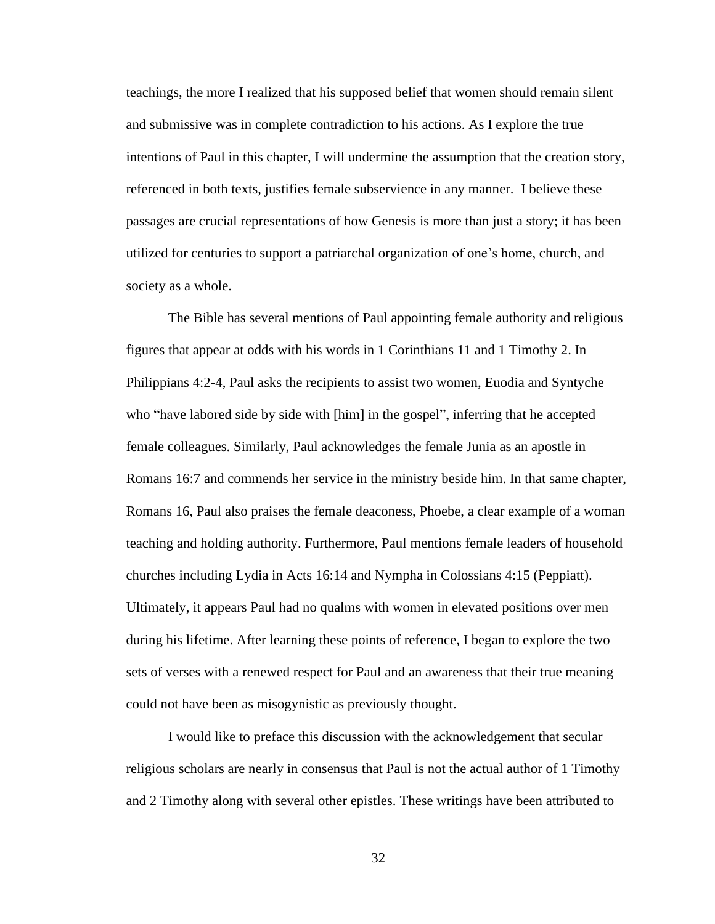teachings, the more I realized that his supposed belief that women should remain silent and submissive was in complete contradiction to his actions. As I explore the true intentions of Paul in this chapter, I will undermine the assumption that the creation story, referenced in both texts, justifies female subservience in any manner. I believe these passages are crucial representations of how Genesis is more than just a story; it has been utilized for centuries to support a patriarchal organization of one's home, church, and society as a whole.

The Bible has several mentions of Paul appointing female authority and religious figures that appear at odds with his words in 1 Corinthians 11 and 1 Timothy 2. In Philippians 4:2-4, Paul asks the recipients to assist two women, Euodia and Syntyche who "have labored side by side with [him] in the gospel", inferring that he accepted female colleagues. Similarly, Paul acknowledges the female Junia as an apostle in Romans 16:7 and commends her service in the ministry beside him. In that same chapter, Romans 16, Paul also praises the female deaconess, Phoebe, a clear example of a woman teaching and holding authority. Furthermore, Paul mentions female leaders of household churches including Lydia in Acts 16:14 and Nympha in Colossians 4:15 (Peppiatt). Ultimately, it appears Paul had no qualms with women in elevated positions over men during his lifetime. After learning these points of reference, I began to explore the two sets of verses with a renewed respect for Paul and an awareness that their true meaning could not have been as misogynistic as previously thought.

I would like to preface this discussion with the acknowledgement that secular religious scholars are nearly in consensus that Paul is not the actual author of 1 Timothy and 2 Timothy along with several other epistles. These writings have been attributed to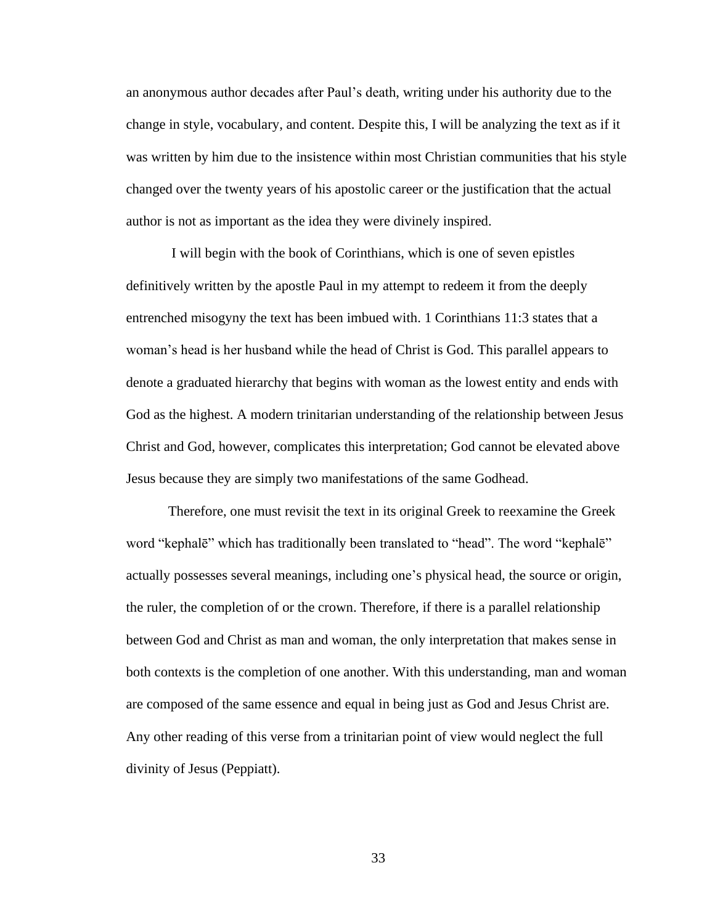an anonymous author decades after Paul's death, writing under his authority due to the change in style, vocabulary, and content. Despite this, I will be analyzing the text as if it was written by him due to the insistence within most Christian communities that his style changed over the twenty years of his apostolic career or the justification that the actual author is not as important as the idea they were divinely inspired.

I will begin with the book of Corinthians, which is one of seven epistles definitively written by the apostle Paul in my attempt to redeem it from the deeply entrenched misogyny the text has been imbued with. 1 Corinthians 11:3 states that a woman's head is her husband while the head of Christ is God. This parallel appears to denote a graduated hierarchy that begins with woman as the lowest entity and ends with God as the highest. A modern trinitarian understanding of the relationship between Jesus Christ and God, however, complicates this interpretation; God cannot be elevated above Jesus because they are simply two manifestations of the same Godhead.

Therefore, one must revisit the text in its original Greek to reexamine the Greek word "kephalē" which has traditionally been translated to "head". The word "kephalē" actually possesses several meanings, including one's physical head, the source or origin, the ruler, the completion of or the crown. Therefore, if there is a parallel relationship between God and Christ as man and woman, the only interpretation that makes sense in both contexts is the completion of one another. With this understanding, man and woman are composed of the same essence and equal in being just as God and Jesus Christ are. Any other reading of this verse from a trinitarian point of view would neglect the full divinity of Jesus (Peppiatt).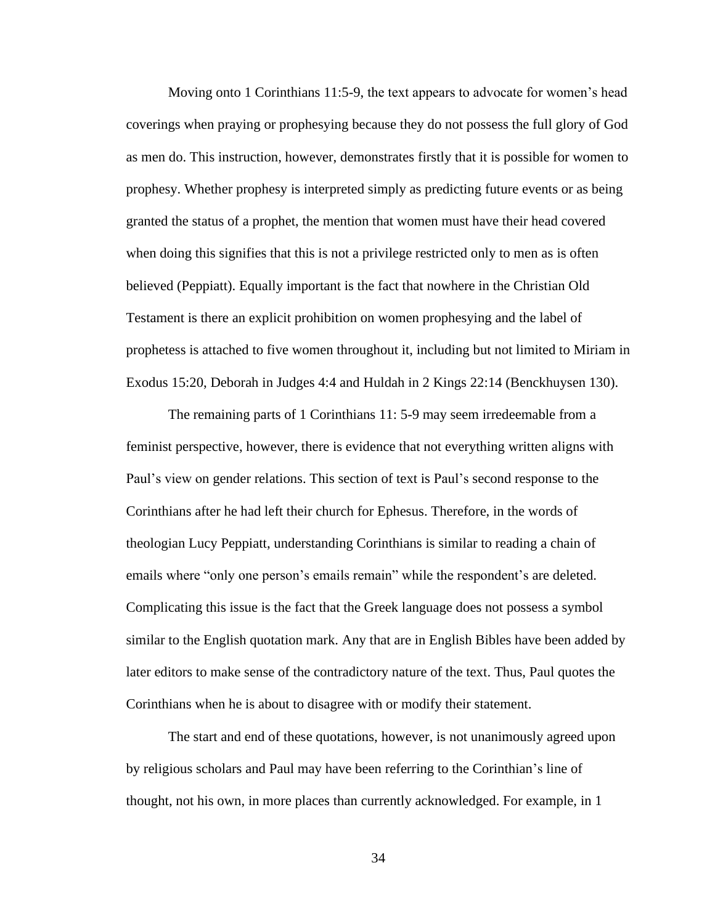Moving onto 1 Corinthians 11:5-9, the text appears to advocate for women's head coverings when praying or prophesying because they do not possess the full glory of God as men do. This instruction, however, demonstrates firstly that it is possible for women to prophesy. Whether prophesy is interpreted simply as predicting future events or as being granted the status of a prophet, the mention that women must have their head covered when doing this signifies that this is not a privilege restricted only to men as is often believed (Peppiatt). Equally important is the fact that nowhere in the Christian Old Testament is there an explicit prohibition on women prophesying and the label of prophetess is attached to five women throughout it, including but not limited to Miriam in Exodus 15:20, Deborah in Judges 4:4 and Huldah in 2 Kings 22:14 (Benckhuysen 130).

The remaining parts of 1 Corinthians 11: 5-9 may seem irredeemable from a feminist perspective, however, there is evidence that not everything written aligns with Paul's view on gender relations. This section of text is Paul's second response to the Corinthians after he had left their church for Ephesus. Therefore, in the words of theologian Lucy Peppiatt, understanding Corinthians is similar to reading a chain of emails where "only one person's emails remain" while the respondent's are deleted. Complicating this issue is the fact that the Greek language does not possess a symbol similar to the English quotation mark. Any that are in English Bibles have been added by later editors to make sense of the contradictory nature of the text. Thus, Paul quotes the Corinthians when he is about to disagree with or modify their statement.

The start and end of these quotations, however, is not unanimously agreed upon by religious scholars and Paul may have been referring to the Corinthian's line of thought, not his own, in more places than currently acknowledged. For example, in 1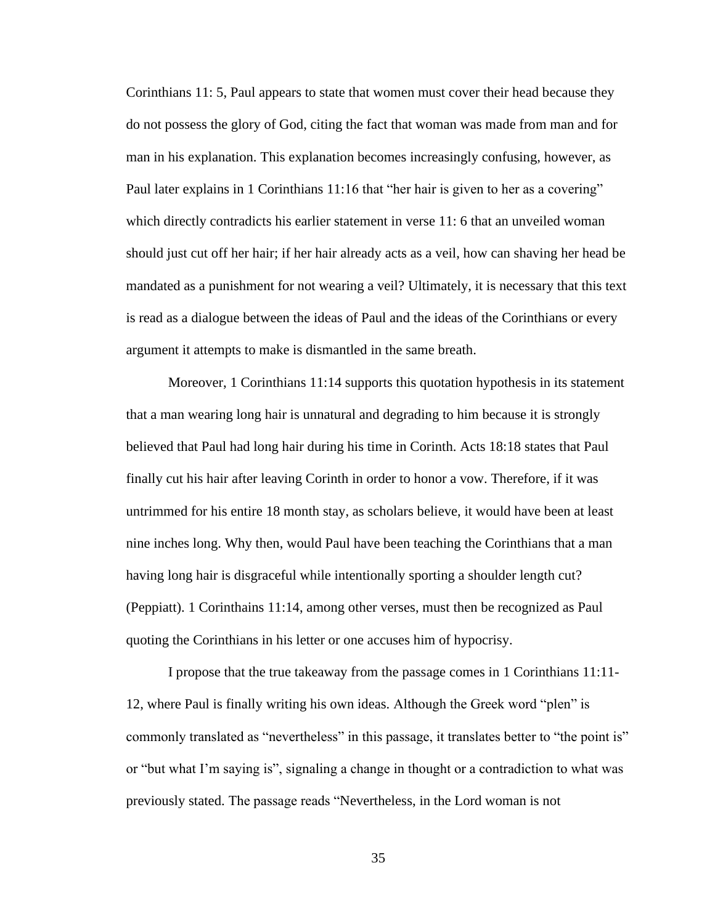Corinthians 11: 5, Paul appears to state that women must cover their head because they do not possess the glory of God, citing the fact that woman was made from man and for man in his explanation. This explanation becomes increasingly confusing, however, as Paul later explains in 1 Corinthians 11:16 that "her hair is given to her as a covering" which directly contradicts his earlier statement in verse 11:6 that an unveiled woman should just cut off her hair; if her hair already acts as a veil, how can shaving her head be mandated as a punishment for not wearing a veil? Ultimately, it is necessary that this text is read as a dialogue between the ideas of Paul and the ideas of the Corinthians or every argument it attempts to make is dismantled in the same breath.

Moreover, 1 Corinthians 11:14 supports this quotation hypothesis in its statement that a man wearing long hair is unnatural and degrading to him because it is strongly believed that Paul had long hair during his time in Corinth. Acts 18:18 states that Paul finally cut his hair after leaving Corinth in order to honor a vow. Therefore, if it was untrimmed for his entire 18 month stay, as scholars believe, it would have been at least nine inches long. Why then, would Paul have been teaching the Corinthians that a man having long hair is disgraceful while intentionally sporting a shoulder length cut? (Peppiatt). 1 Corinthains 11:14, among other verses, must then be recognized as Paul quoting the Corinthians in his letter or one accuses him of hypocrisy.

I propose that the true takeaway from the passage comes in 1 Corinthians 11:11- 12, where Paul is finally writing his own ideas. Although the Greek word "plen" is commonly translated as "nevertheless" in this passage, it translates better to "the point is" or "but what I'm saying is", signaling a change in thought or a contradiction to what was previously stated. The passage reads "Nevertheless, in the Lord woman is not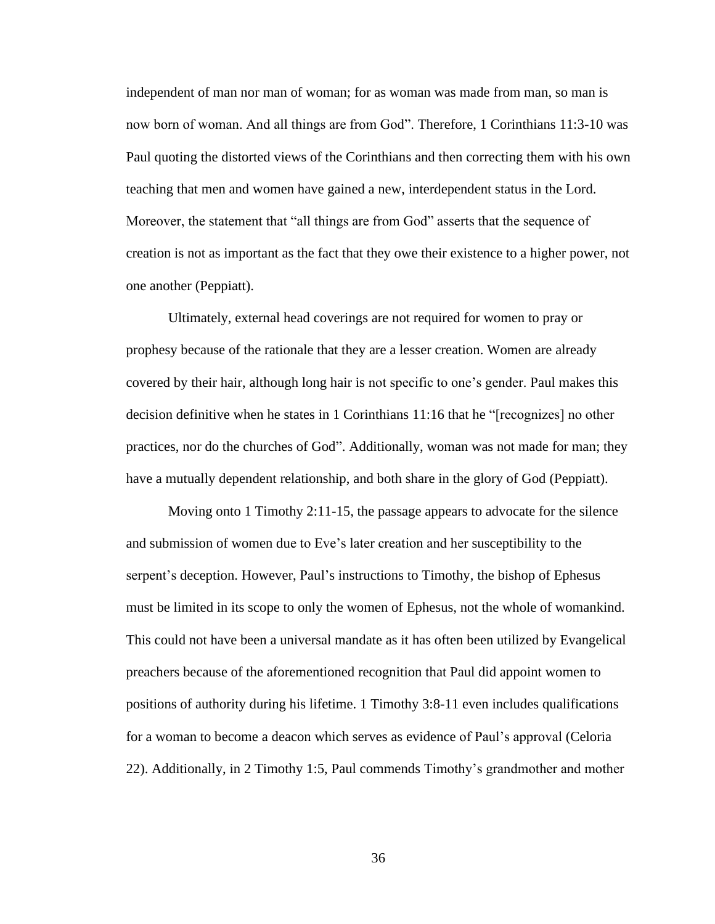independent of man nor man of woman; for as woman was made from man, so man is now born of woman. And all things are from God". Therefore, 1 Corinthians 11:3-10 was Paul quoting the distorted views of the Corinthians and then correcting them with his own teaching that men and women have gained a new, interdependent status in the Lord. Moreover, the statement that "all things are from God" asserts that the sequence of creation is not as important as the fact that they owe their existence to a higher power, not one another (Peppiatt).

Ultimately, external head coverings are not required for women to pray or prophesy because of the rationale that they are a lesser creation. Women are already covered by their hair, although long hair is not specific to one's gender. Paul makes this decision definitive when he states in 1 Corinthians 11:16 that he "[recognizes] no other practices, nor do the churches of God". Additionally, woman was not made for man; they have a mutually dependent relationship, and both share in the glory of God (Peppiatt).

Moving onto 1 Timothy 2:11-15, the passage appears to advocate for the silence and submission of women due to Eve's later creation and her susceptibility to the serpent's deception. However, Paul's instructions to Timothy, the bishop of Ephesus must be limited in its scope to only the women of Ephesus, not the whole of womankind. This could not have been a universal mandate as it has often been utilized by Evangelical preachers because of the aforementioned recognition that Paul did appoint women to positions of authority during his lifetime. 1 Timothy 3:8-11 even includes qualifications for a woman to become a deacon which serves as evidence of Paul's approval (Celoria 22). Additionally, in 2 Timothy 1:5, Paul commends Timothy's grandmother and mother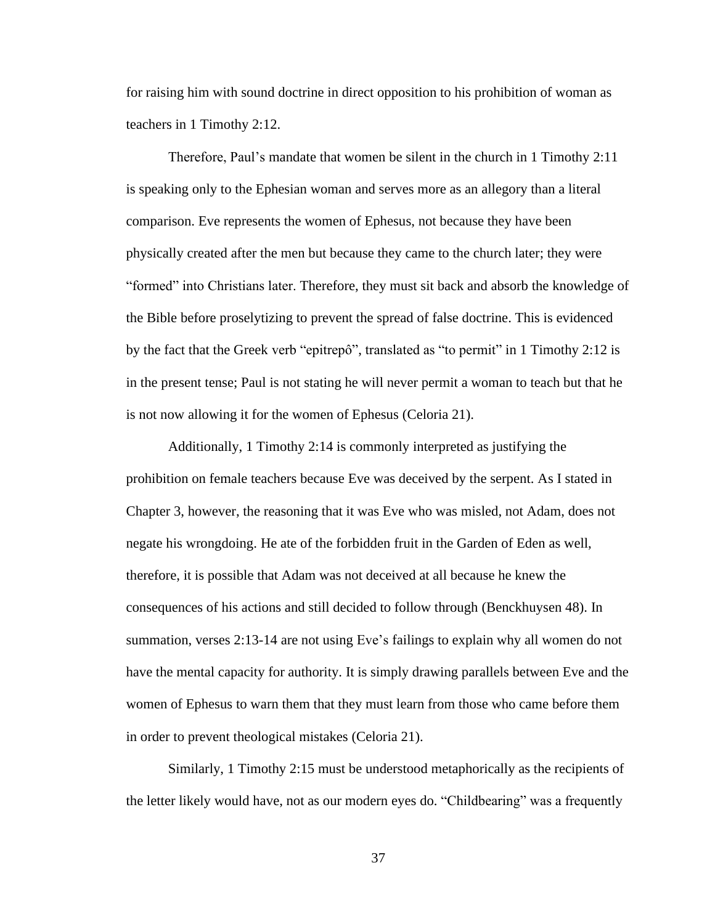for raising him with sound doctrine in direct opposition to his prohibition of woman as teachers in 1 Timothy 2:12.

Therefore, Paul's mandate that women be silent in the church in 1 Timothy 2:11 is speaking only to the Ephesian woman and serves more as an allegory than a literal comparison. Eve represents the women of Ephesus, not because they have been physically created after the men but because they came to the church later; they were "formed" into Christians later. Therefore, they must sit back and absorb the knowledge of the Bible before proselytizing to prevent the spread of false doctrine. This is evidenced by the fact that the Greek verb "epitrepô", translated as "to permit" in 1 Timothy 2:12 is in the present tense; Paul is not stating he will never permit a woman to teach but that he is not now allowing it for the women of Ephesus (Celoria 21).

Additionally, 1 Timothy 2:14 is commonly interpreted as justifying the prohibition on female teachers because Eve was deceived by the serpent. As I stated in Chapter 3, however, the reasoning that it was Eve who was misled, not Adam, does not negate his wrongdoing. He ate of the forbidden fruit in the Garden of Eden as well, therefore, it is possible that Adam was not deceived at all because he knew the consequences of his actions and still decided to follow through (Benckhuysen 48). In summation, verses 2:13-14 are not using Eve's failings to explain why all women do not have the mental capacity for authority. It is simply drawing parallels between Eve and the women of Ephesus to warn them that they must learn from those who came before them in order to prevent theological mistakes (Celoria 21).

Similarly, 1 Timothy 2:15 must be understood metaphorically as the recipients of the letter likely would have, not as our modern eyes do. "Childbearing" was a frequently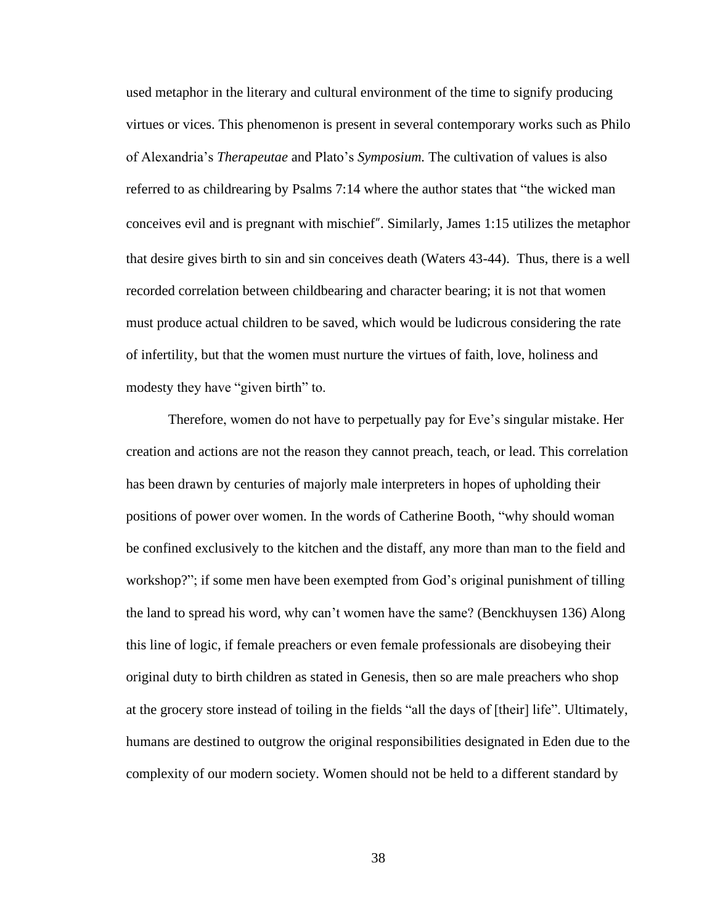used metaphor in the literary and cultural environment of the time to signify producing virtues or vices. This phenomenon is present in several contemporary works such as Philo of Alexandria's *Therapeutae* and Plato's *Symposium.* The cultivation of values is also referred to as childrearing by Psalms 7:14 where the author states that "the wicked man conceives evil and is pregnant with mischief". Similarly, James 1:15 utilizes the metaphor that desire gives birth to sin and sin conceives death (Waters 43-44). Thus, there is a well recorded correlation between childbearing and character bearing; it is not that women must produce actual children to be saved, which would be ludicrous considering the rate of infertility, but that the women must nurture the virtues of faith, love, holiness and modesty they have "given birth" to.

Therefore, women do not have to perpetually pay for Eve's singular mistake. Her creation and actions are not the reason they cannot preach, teach, or lead. This correlation has been drawn by centuries of majorly male interpreters in hopes of upholding their positions of power over women. In the words of Catherine Booth, "why should woman be confined exclusively to the kitchen and the distaff, any more than man to the field and workshop?"; if some men have been exempted from God's original punishment of tilling the land to spread his word, why can't women have the same? (Benckhuysen 136) Along this line of logic, if female preachers or even female professionals are disobeying their original duty to birth children as stated in Genesis, then so are male preachers who shop at the grocery store instead of toiling in the fields "all the days of [their] life". Ultimately, humans are destined to outgrow the original responsibilities designated in Eden due to the complexity of our modern society. Women should not be held to a different standard by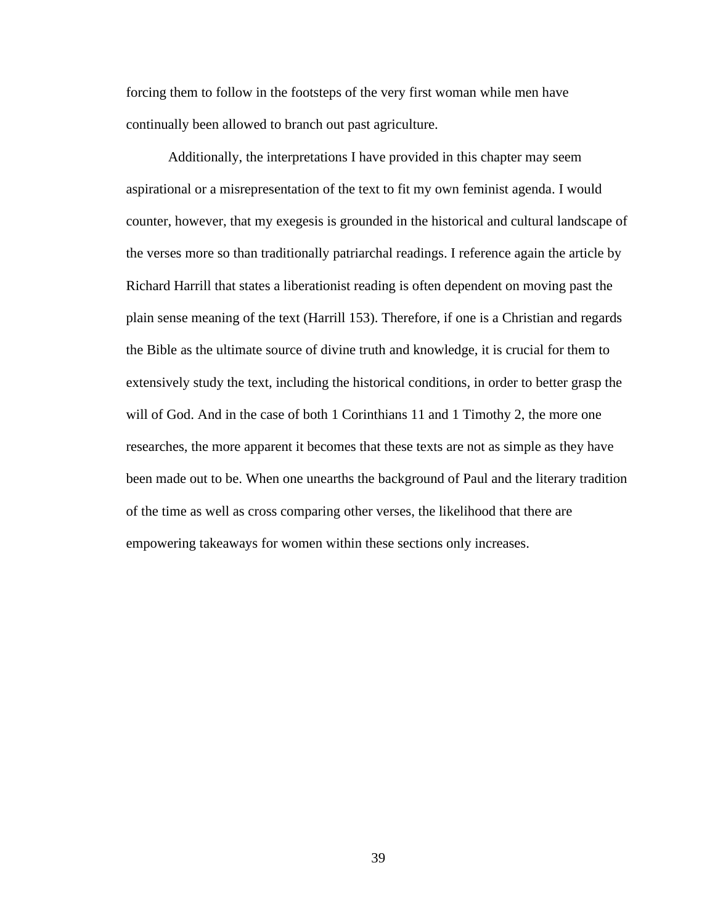forcing them to follow in the footsteps of the very first woman while men have continually been allowed to branch out past agriculture.

Additionally, the interpretations I have provided in this chapter may seem aspirational or a misrepresentation of the text to fit my own feminist agenda. I would counter, however, that my exegesis is grounded in the historical and cultural landscape of the verses more so than traditionally patriarchal readings. I reference again the article by Richard Harrill that states a liberationist reading is often dependent on moving past the plain sense meaning of the text (Harrill 153). Therefore, if one is a Christian and regards the Bible as the ultimate source of divine truth and knowledge, it is crucial for them to extensively study the text, including the historical conditions, in order to better grasp the will of God. And in the case of both 1 Corinthians 11 and 1 Timothy 2, the more one researches, the more apparent it becomes that these texts are not as simple as they have been made out to be. When one unearths the background of Paul and the literary tradition of the time as well as cross comparing other verses, the likelihood that there are empowering takeaways for women within these sections only increases.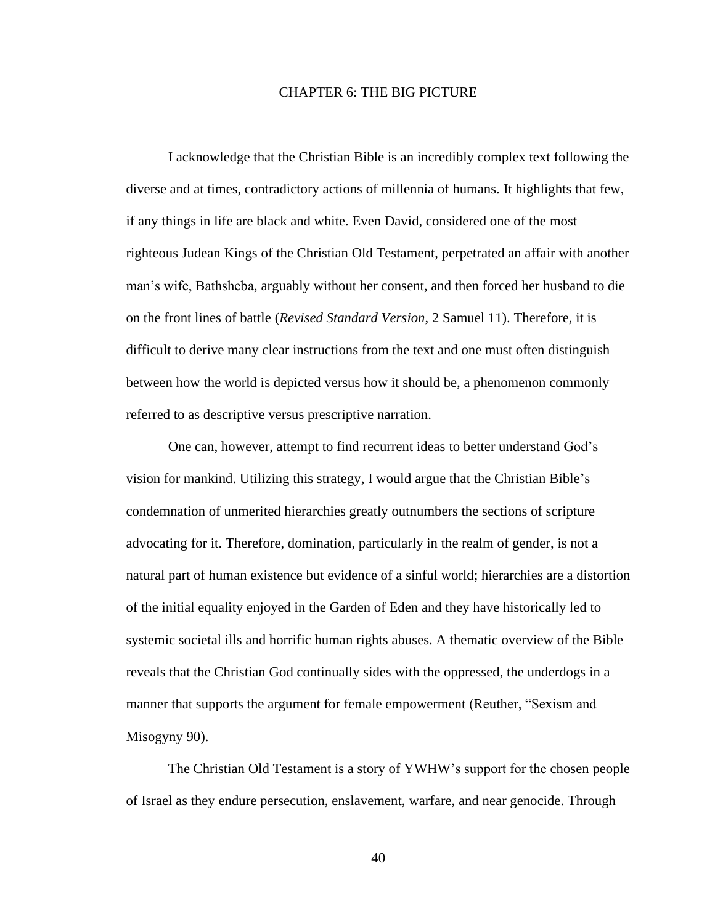#### CHAPTER 6: THE BIG PICTURE

I acknowledge that the Christian Bible is an incredibly complex text following the diverse and at times, contradictory actions of millennia of humans. It highlights that few, if any things in life are black and white. Even David, considered one of the most righteous Judean Kings of the Christian Old Testament, perpetrated an affair with another man's wife, Bathsheba, arguably without her consent, and then forced her husband to die on the front lines of battle (*Revised Standard Version*, 2 Samuel 11). Therefore, it is difficult to derive many clear instructions from the text and one must often distinguish between how the world is depicted versus how it should be, a phenomenon commonly referred to as descriptive versus prescriptive narration.

One can, however, attempt to find recurrent ideas to better understand God's vision for mankind. Utilizing this strategy, I would argue that the Christian Bible's condemnation of unmerited hierarchies greatly outnumbers the sections of scripture advocating for it. Therefore, domination, particularly in the realm of gender, is not a natural part of human existence but evidence of a sinful world; hierarchies are a distortion of the initial equality enjoyed in the Garden of Eden and they have historically led to systemic societal ills and horrific human rights abuses. A thematic overview of the Bible reveals that the Christian God continually sides with the oppressed, the underdogs in a manner that supports the argument for female empowerment (Reuther, "Sexism and Misogyny 90).

The Christian Old Testament is a story of YWHW's support for the chosen people of Israel as they endure persecution, enslavement, warfare, and near genocide. Through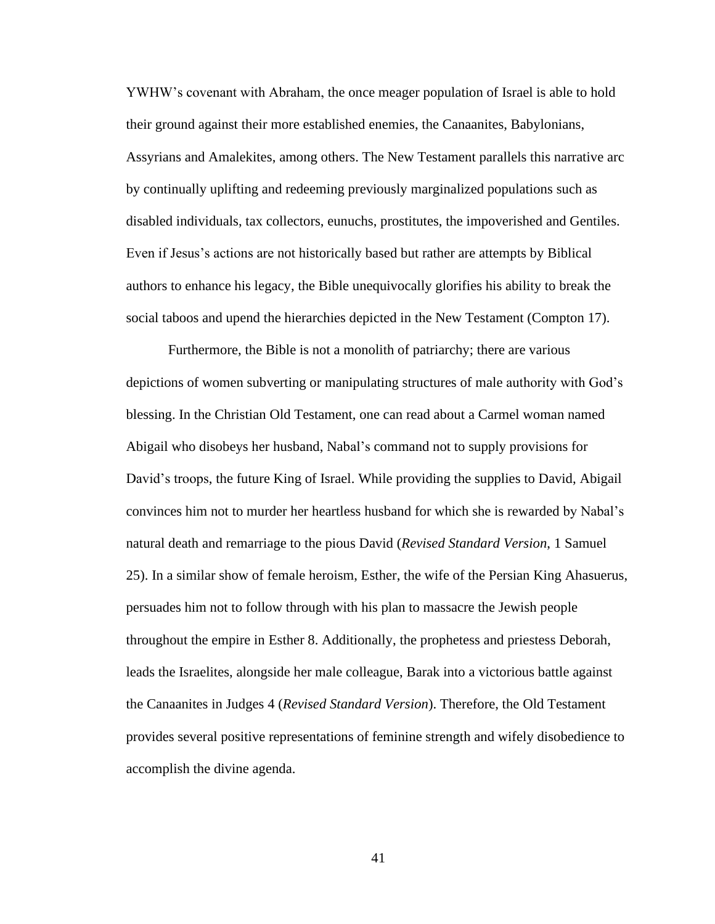YWHW's covenant with Abraham, the once meager population of Israel is able to hold their ground against their more established enemies, the Canaanites, Babylonians, Assyrians and Amalekites, among others. The New Testament parallels this narrative arc by continually uplifting and redeeming previously marginalized populations such as disabled individuals, tax collectors, eunuchs, prostitutes, the impoverished and Gentiles. Even if Jesus's actions are not historically based but rather are attempts by Biblical authors to enhance his legacy, the Bible unequivocally glorifies his ability to break the social taboos and upend the hierarchies depicted in the New Testament (Compton 17).

Furthermore, the Bible is not a monolith of patriarchy; there are various depictions of women subverting or manipulating structures of male authority with God's blessing. In the Christian Old Testament, one can read about a Carmel woman named Abigail who disobeys her husband, Nabal's command not to supply provisions for David's troops, the future King of Israel. While providing the supplies to David, Abigail convinces him not to murder her heartless husband for which she is rewarded by Nabal's natural death and remarriage to the pious David (*Revised Standard Version*, 1 Samuel 25). In a similar show of female heroism, Esther, the wife of the Persian King Ahasuerus, persuades him not to follow through with his plan to massacre the Jewish people throughout the empire in Esther 8. Additionally, the prophetess and priestess Deborah, leads the Israelites, alongside her male colleague, Barak into a victorious battle against the Canaanites in Judges 4 (*Revised Standard Version*). Therefore, the Old Testament provides several positive representations of feminine strength and wifely disobedience to accomplish the divine agenda.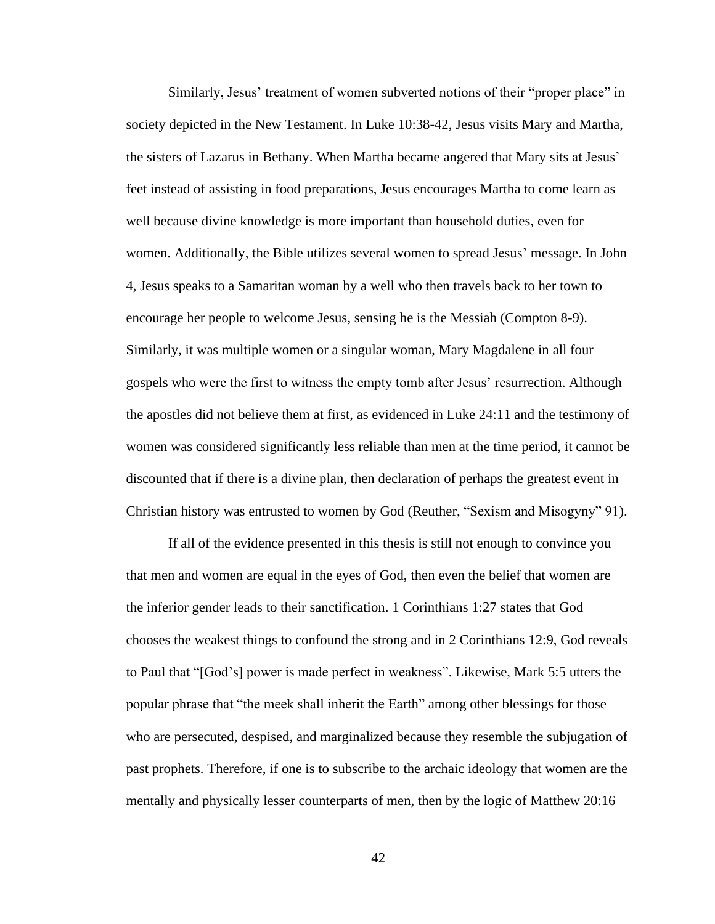Similarly, Jesus' treatment of women subverted notions of their "proper place" in society depicted in the New Testament. In Luke 10:38-42, Jesus visits Mary and Martha, the sisters of Lazarus in Bethany. When Martha became angered that Mary sits at Jesus' feet instead of assisting in food preparations, Jesus encourages Martha to come learn as well because divine knowledge is more important than household duties, even for women. Additionally, the Bible utilizes several women to spread Jesus' message. In John 4, Jesus speaks to a Samaritan woman by a well who then travels back to her town to encourage her people to welcome Jesus, sensing he is the Messiah (Compton 8-9). Similarly, it was multiple women or a singular woman, Mary Magdalene in all four gospels who were the first to witness the empty tomb after Jesus' resurrection. Although the apostles did not believe them at first, as evidenced in Luke 24:11 and the testimony of women was considered significantly less reliable than men at the time period, it cannot be discounted that if there is a divine plan, then declaration of perhaps the greatest event in Christian history was entrusted to women by God (Reuther, "Sexism and Misogyny" 91).

If all of the evidence presented in this thesis is still not enough to convince you that men and women are equal in the eyes of God, then even the belief that women are the inferior gender leads to their sanctification. 1 Corinthians 1:27 states that God chooses the weakest things to confound the strong and in 2 Corinthians 12:9, God reveals to Paul that "[God's] power is made perfect in weakness". Likewise, Mark 5:5 utters the popular phrase that "the meek shall inherit the Earth" among other blessings for those who are persecuted, despised, and marginalized because they resemble the subjugation of past prophets. Therefore, if one is to subscribe to the archaic ideology that women are the mentally and physically lesser counterparts of men, then by the logic of Matthew 20:16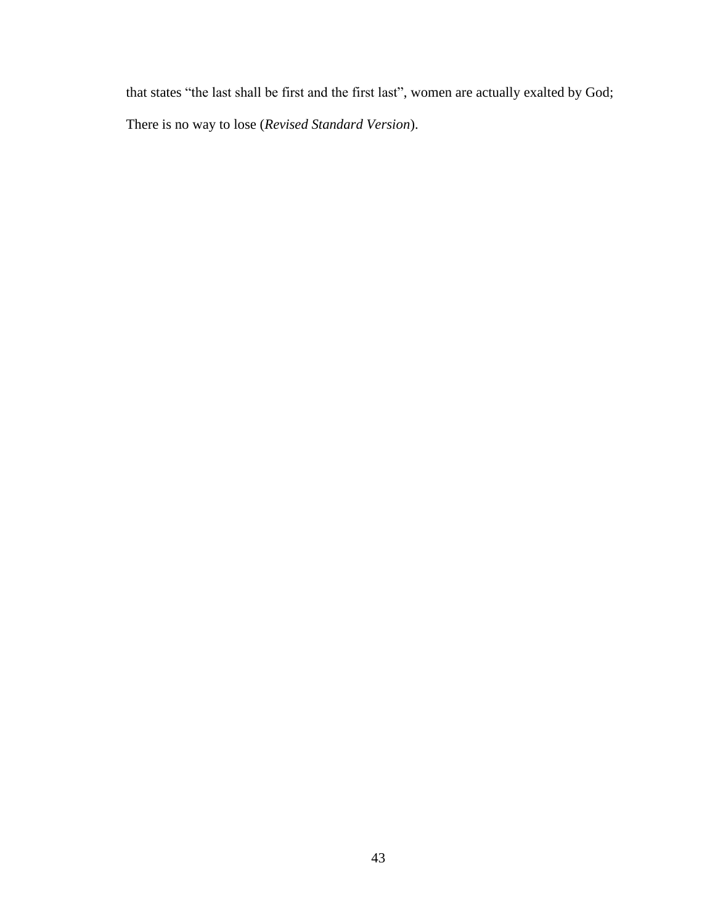that states "the last shall be first and the first last", women are actually exalted by God; There is no way to lose (*Revised Standard Version*).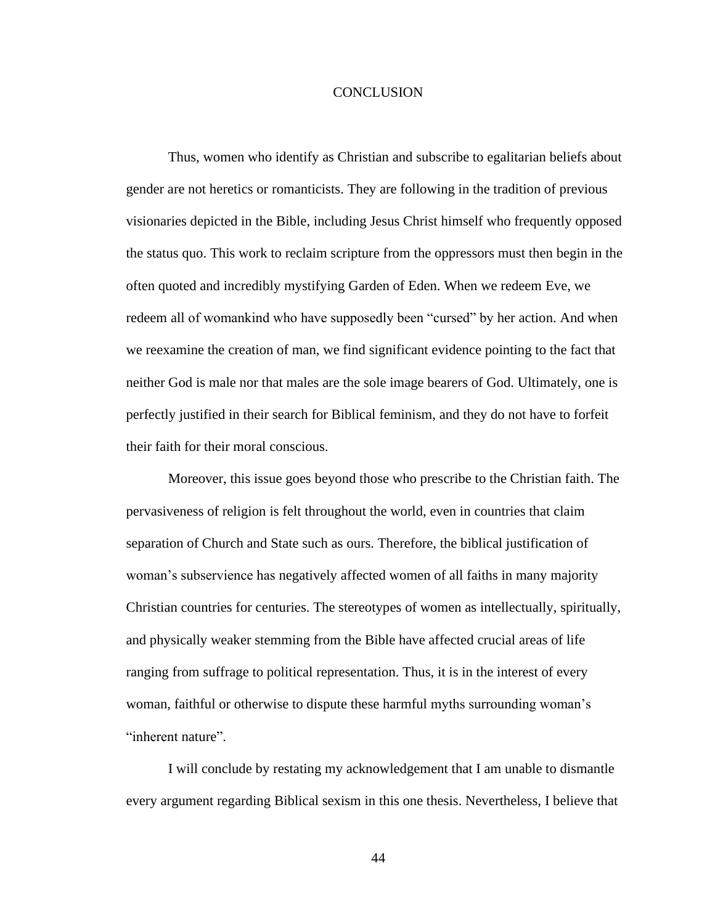#### CONCLUSION

Thus, women who identify as Christian and subscribe to egalitarian beliefs about gender are not heretics or romanticists. They are following in the tradition of previous visionaries depicted in the Bible, including Jesus Christ himself who frequently opposed the status quo. This work to reclaim scripture from the oppressors must then begin in the often quoted and incredibly mystifying Garden of Eden. When we redeem Eve, we redeem all of womankind who have supposedly been "cursed" by her action. And when we reexamine the creation of man, we find significant evidence pointing to the fact that neither God is male nor that males are the sole image bearers of God. Ultimately, one is perfectly justified in their search for Biblical feminism, and they do not have to forfeit their faith for their moral conscious.

Moreover, this issue goes beyond those who prescribe to the Christian faith. The pervasiveness of religion is felt throughout the world, even in countries that claim separation of Church and State such as ours. Therefore, the biblical justification of woman's subservience has negatively affected women of all faiths in many majority Christian countries for centuries. The stereotypes of women as intellectually, spiritually, and physically weaker stemming from the Bible have affected crucial areas of life ranging from suffrage to political representation. Thus, it is in the interest of every woman, faithful or otherwise to dispute these harmful myths surrounding woman's "inherent nature".

I will conclude by restating my acknowledgement that I am unable to dismantle every argument regarding Biblical sexism in this one thesis. Nevertheless, I believe that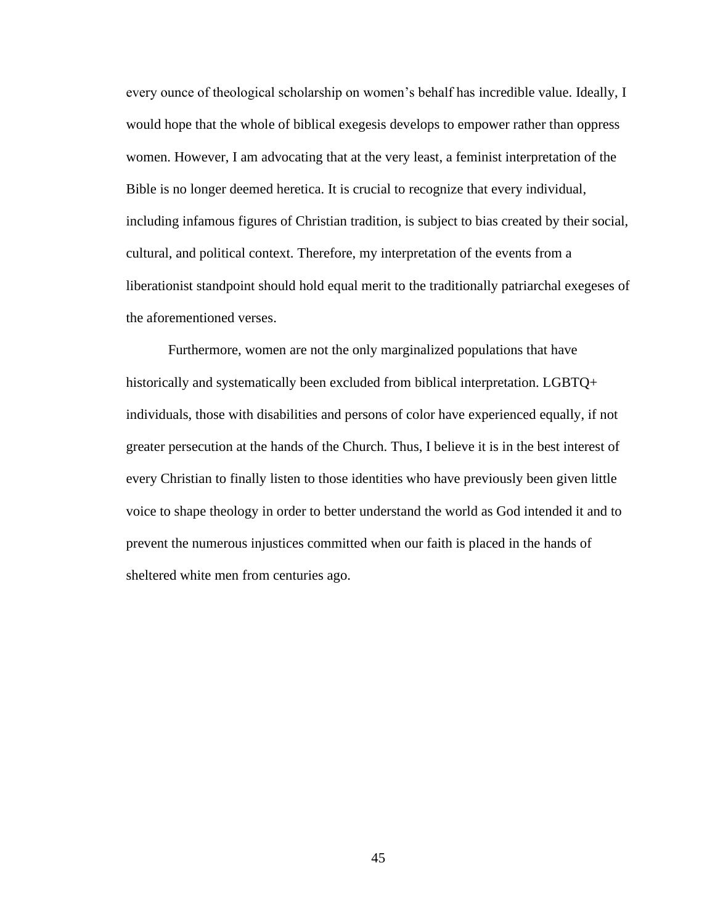every ounce of theological scholarship on women's behalf has incredible value. Ideally, I would hope that the whole of biblical exegesis develops to empower rather than oppress women. However, I am advocating that at the very least, a feminist interpretation of the Bible is no longer deemed heretica. It is crucial to recognize that every individual, including infamous figures of Christian tradition, is subject to bias created by their social, cultural, and political context. Therefore, my interpretation of the events from a liberationist standpoint should hold equal merit to the traditionally patriarchal exegeses of the aforementioned verses.

Furthermore, women are not the only marginalized populations that have historically and systematically been excluded from biblical interpretation. LGBTQ+ individuals, those with disabilities and persons of color have experienced equally, if not greater persecution at the hands of the Church. Thus, I believe it is in the best interest of every Christian to finally listen to those identities who have previously been given little voice to shape theology in order to better understand the world as God intended it and to prevent the numerous injustices committed when our faith is placed in the hands of sheltered white men from centuries ago.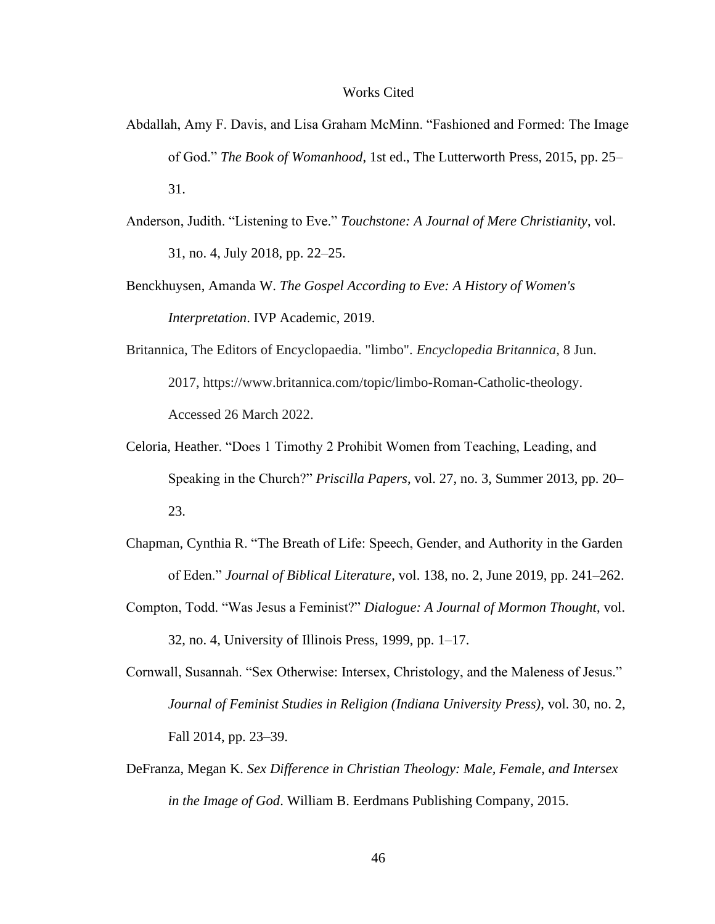#### Works Cited

- Abdallah, Amy F. Davis, and Lisa Graham McMinn. "Fashioned and Formed: The Image of God." *The Book of Womanhood*, 1st ed., The Lutterworth Press, 2015, pp. 25– 31.
- Anderson, Judith. "Listening to Eve." *Touchstone: A Journal of Mere Christianity*, vol. 31, no. 4, July 2018, pp. 22–25.
- Benckhuysen, Amanda W. *The Gospel According to Eve: A History of Women's Interpretation*. IVP Academic, 2019.
- Britannica, The Editors of Encyclopaedia. "limbo". *Encyclopedia Britannica*, 8 Jun. 2017, https://www.britannica.com/topic/limbo-Roman-Catholic-theology. Accessed 26 March 2022.
- Celoria, Heather. "Does 1 Timothy 2 Prohibit Women from Teaching, Leading, and Speaking in the Church?" *Priscilla Papers*, vol. 27, no. 3, Summer 2013, pp. 20– 23.
- Chapman, Cynthia R. "The Breath of Life: Speech, Gender, and Authority in the Garden of Eden." *Journal of Biblical Literature*, vol. 138, no. 2, June 2019, pp. 241–262.
- Compton, Todd. "Was Jesus a Feminist?" *Dialogue: A Journal of Mormon Thought*, vol. 32, no. 4, University of Illinois Press, 1999, pp. 1–17.
- Cornwall, Susannah. "Sex Otherwise: Intersex, Christology, and the Maleness of Jesus." *Journal of Feminist Studies in Religion (Indiana University Press)*, vol. 30, no. 2, Fall 2014, pp. 23–39.
- DeFranza, Megan K. *Sex Difference in Christian Theology: Male, Female, and Intersex in the Image of God*. William B. Eerdmans Publishing Company, 2015.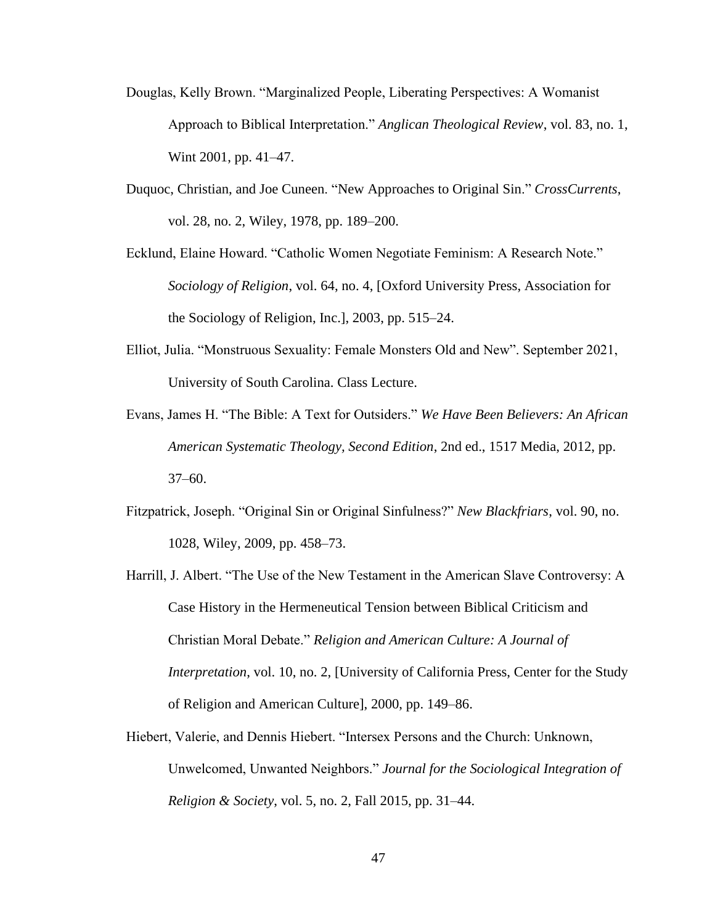- Douglas, Kelly Brown. "Marginalized People, Liberating Perspectives: A Womanist Approach to Biblical Interpretation." *Anglican Theological Review*, vol. 83, no. 1, Wint 2001, pp. 41–47.
- Duquoc, Christian, and Joe Cuneen. "New Approaches to Original Sin." *CrossCurrents*, vol. 28, no. 2, Wiley, 1978, pp. 189–200.
- Ecklund, Elaine Howard. "Catholic Women Negotiate Feminism: A Research Note." *Sociology of Religion*, vol. 64, no. 4, [Oxford University Press, Association for the Sociology of Religion, Inc.], 2003, pp. 515–24.
- Elliot, Julia. "Monstruous Sexuality: Female Monsters Old and New". September 2021, University of South Carolina. Class Lecture.
- Evans, James H. "The Bible: A Text for Outsiders." *We Have Been Believers: An African American Systematic Theology, Second Edition*, 2nd ed., 1517 Media, 2012, pp. 37–60.
- Fitzpatrick, Joseph. "Original Sin or Original Sinfulness?" *New Blackfriars*, vol. 90, no. 1028, Wiley, 2009, pp. 458–73.
- Harrill, J. Albert. "The Use of the New Testament in the American Slave Controversy: A Case History in the Hermeneutical Tension between Biblical Criticism and Christian Moral Debate." *Religion and American Culture: A Journal of Interpretation*, vol. 10, no. 2, [University of California Press, Center for the Study of Religion and American Culture], 2000, pp. 149–86.
- Hiebert, Valerie, and Dennis Hiebert. "Intersex Persons and the Church: Unknown, Unwelcomed, Unwanted Neighbors." *Journal for the Sociological Integration of Religion & Society*, vol. 5, no. 2, Fall 2015, pp. 31–44.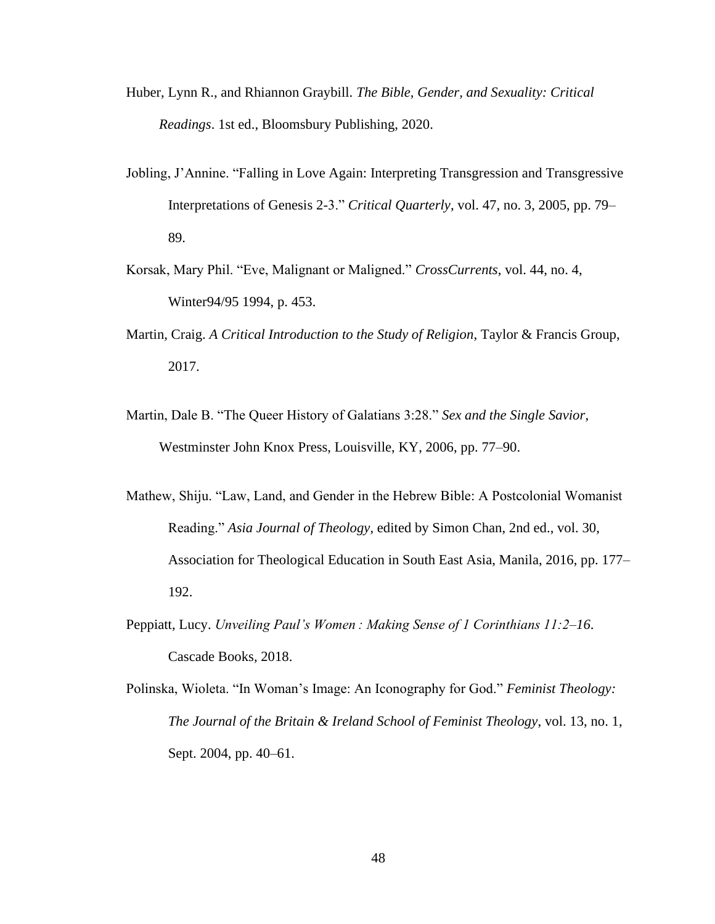- Huber, Lynn R., and Rhiannon Graybill. *The Bible, Gender, and Sexuality: Critical Readings*. 1st ed., Bloomsbury Publishing, 2020.
- Jobling, J'Annine. "Falling in Love Again: Interpreting Transgression and Transgressive Interpretations of Genesis 2-3." *Critical Quarterly*, vol. 47, no. 3, 2005, pp. 79– 89.
- Korsak, Mary Phil. "Eve, Malignant or Maligned." *CrossCurrents*, vol. 44, no. 4, Winter94/95 1994, p. 453.
- Martin, Craig. *A Critical Introduction to the Study of Religion*, Taylor & Francis Group, 2017.
- Martin, Dale B. "The Queer History of Galatians 3:28." *Sex and the Single Savior*, Westminster John Knox Press, Louisville, KY, 2006, pp. 77–90.
- Mathew, Shiju. "Law, Land, and Gender in the Hebrew Bible: A Postcolonial Womanist Reading." *Asia Journal of Theology*, edited by Simon Chan, 2nd ed., vol. 30, Association for Theological Education in South East Asia, Manila, 2016, pp. 177– 192.
- Peppiatt, Lucy. *Unveiling Paul's Women : Making Sense of 1 Corinthians 11:2–16*. Cascade Books, 2018.
- Polinska, Wioleta. "In Woman's Image: An Iconography for God." *Feminist Theology: The Journal of the Britain & Ireland School of Feminist Theology*, vol. 13, no. 1, Sept. 2004, pp. 40–61.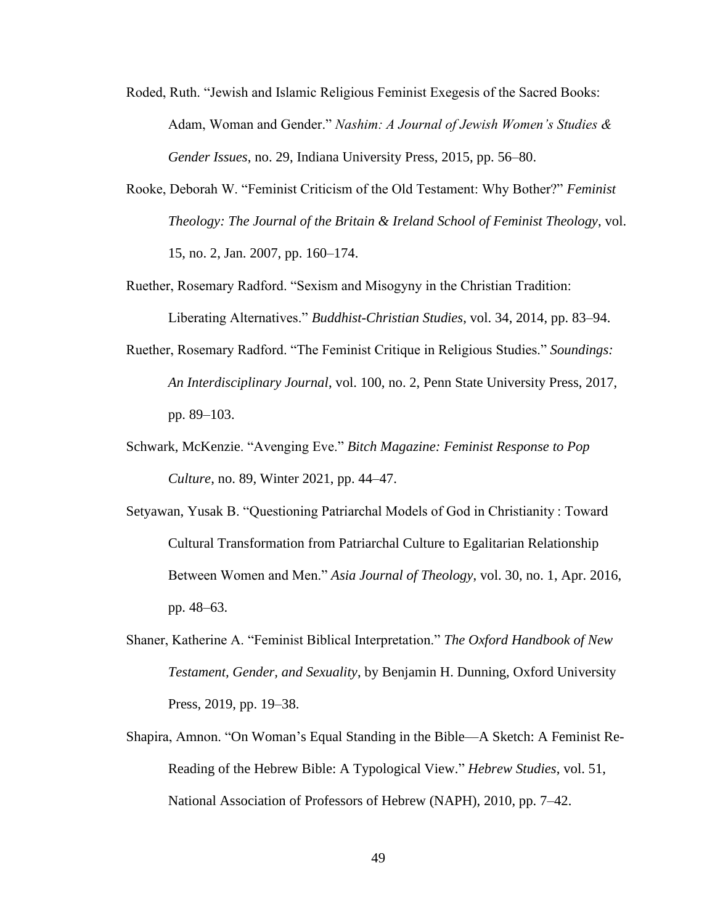- Roded, Ruth. "Jewish and Islamic Religious Feminist Exegesis of the Sacred Books: Adam, Woman and Gender." *Nashim: A Journal of Jewish Women's Studies & Gender Issues*, no. 29, Indiana University Press, 2015, pp. 56–80.
- Rooke, Deborah W. "Feminist Criticism of the Old Testament: Why Bother?" *Feminist Theology: The Journal of the Britain & Ireland School of Feminist Theology*, vol. 15, no. 2, Jan. 2007, pp. 160–174.
- Ruether, Rosemary Radford. "Sexism and Misogyny in the Christian Tradition: Liberating Alternatives." *Buddhist-Christian Studies*, vol. 34, 2014, pp. 83–94.
- Ruether, Rosemary Radford. "The Feminist Critique in Religious Studies." *Soundings: An Interdisciplinary Journal*, vol. 100, no. 2, Penn State University Press, 2017, pp. 89–103.
- Schwark, McKenzie. "Avenging Eve." *Bitch Magazine: Feminist Response to Pop Culture*, no. 89, Winter 2021, pp. 44–47.
- Setyawan, Yusak B. "Questioning Patriarchal Models of God in Christianity : Toward Cultural Transformation from Patriarchal Culture to Egalitarian Relationship Between Women and Men." *Asia Journal of Theology*, vol. 30, no. 1, Apr. 2016, pp. 48–63.
- Shaner, Katherine A. "Feminist Biblical Interpretation." *The Oxford Handbook of New Testament, Gender, and Sexuality*, by Benjamin H. Dunning, Oxford University Press, 2019, pp. 19–38.
- Shapira, Amnon. "On Woman's Equal Standing in the Bible—A Sketch: A Feminist Re-Reading of the Hebrew Bible: A Typological View." *Hebrew Studies*, vol. 51, National Association of Professors of Hebrew (NAPH), 2010, pp. 7–42.